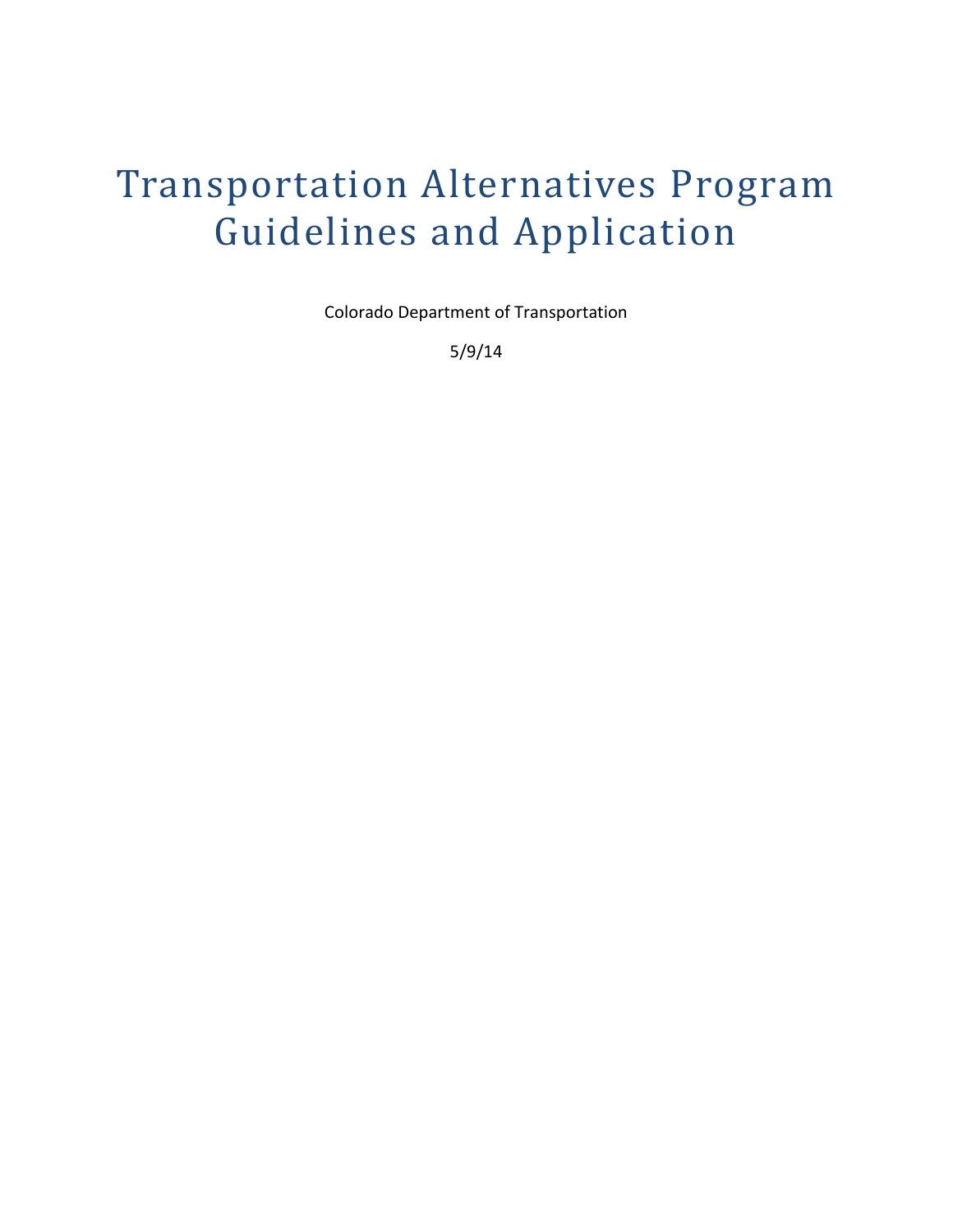# Transportation Alternatives Program Guidelines and Application

Colorado Department of Transportation

5/9/14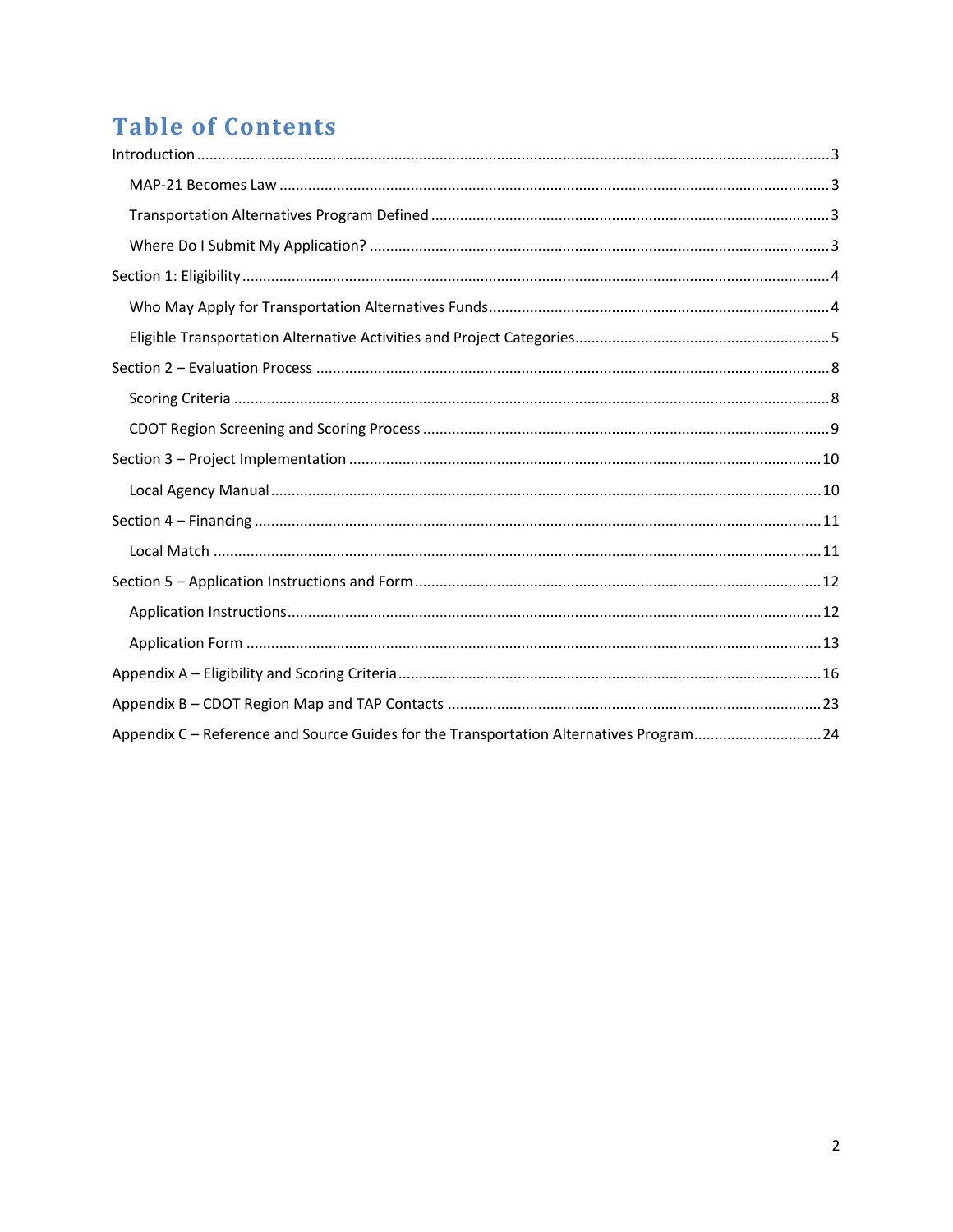## **Table of Contents**

| Appendix C - Reference and Source Guides for the Transportation Alternatives Program24 |  |
|----------------------------------------------------------------------------------------|--|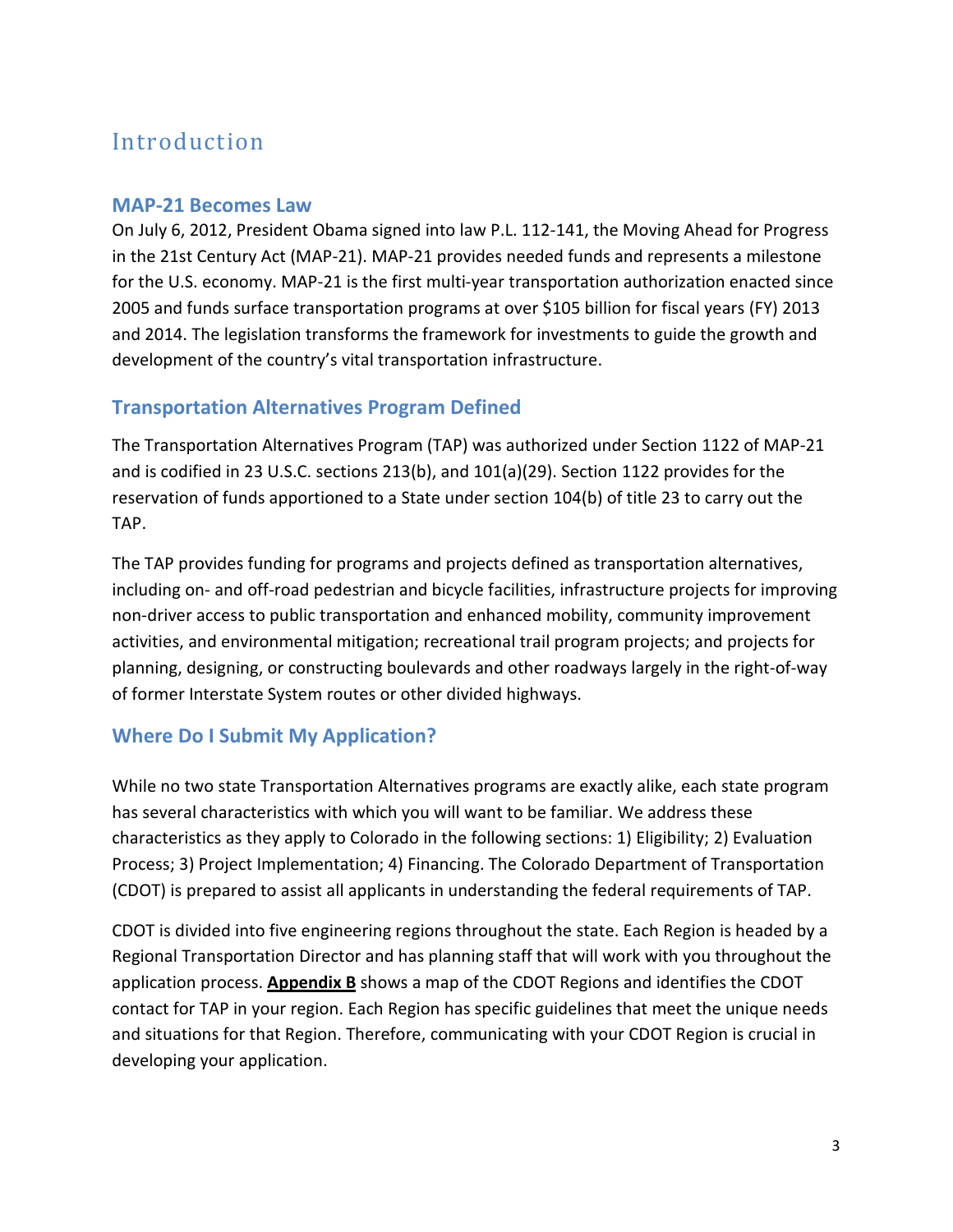## Introduction

#### MAP-21 Becomes Law

On July 6, 2012, President Obama signed into law P.L. 112-141, the Moving Ahead for Progress in the 21st Century Act (MAP-21). MAP-21 provides needed funds and represents a milestone for the U.S. economy. MAP-21 is the first multi-year transportation authorization enacted since 2005 and funds surface transportation programs at over \$105 billion for fiscal years (FY) 2013 and 2014. The legislation transforms the framework for investments to guide the growth and development of the country's vital transportation infrastructure.

### Transportation Alternatives Program Defined

The Transportation Alternatives Program (TAP) was authorized under Section 1122 of MAP-21 and is codified in 23 U.S.C. sections 213(b), and 101(a)(29). Section 1122 provides for the reservation of funds apportioned to a State under section 104(b) of title 23 to carry out the TAP.

The TAP provides funding for programs and projects defined as transportation alternatives, including on- and off-road pedestrian and bicycle facilities, infrastructure projects for improving non-driver access to public transportation and enhanced mobility, community improvement activities, and environmental mitigation; recreational trail program projects; and projects for planning, designing, or constructing boulevards and other roadways largely in the right-of-way of former Interstate System routes or other divided highways.

### Where Do I Submit My Application?

While no two state Transportation Alternatives programs are exactly alike, each state program has several characteristics with which you will want to be familiar. We address these characteristics as they apply to Colorado in the following sections: 1) Eligibility; 2) Evaluation Process; 3) Project Implementation; 4) Financing. The Colorado Department of Transportation (CDOT) is prepared to assist all applicants in understanding the federal requirements of TAP.

CDOT is divided into five engineering regions throughout the state. Each Region is headed by a Regional Transportation Director and has planning staff that will work with you throughout the application process. **Appendix B** shows a map of the CDOT Regions and identifies the CDOT contact for TAP in your region. Each Region has specific guidelines that meet the unique needs and situations for that Region. Therefore, communicating with your CDOT Region is crucial in developing your application.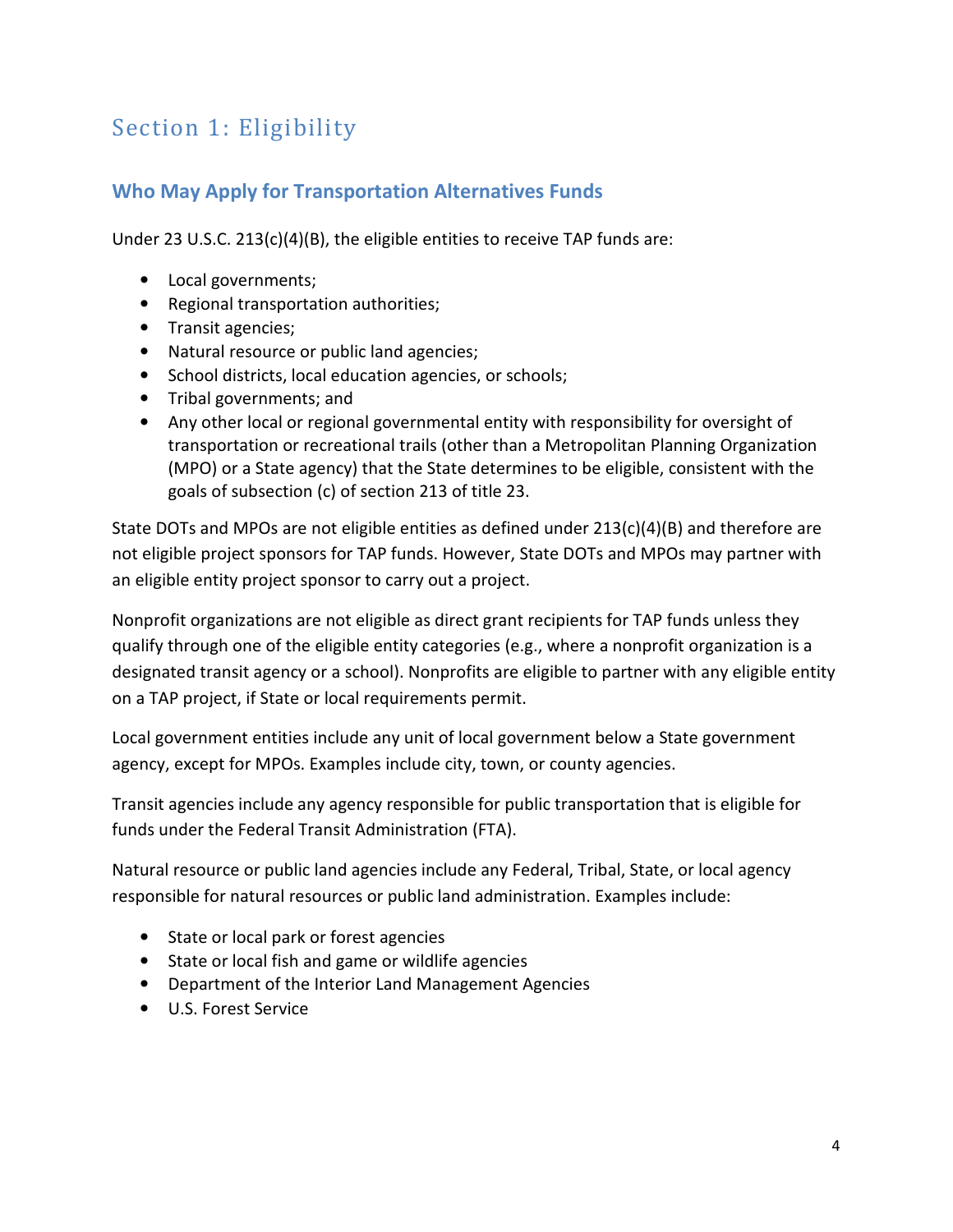## Section 1: Eligibility

### Who May Apply for Transportation Alternatives Funds

Under 23 U.S.C. 213(c)(4)(B), the eligible entities to receive TAP funds are:

- Local governments;
- Regional transportation authorities;
- Transit agencies;
- Natural resource or public land agencies;
- School districts, local education agencies, or schools;
- Tribal governments; and
- Any other local or regional governmental entity with responsibility for oversight of transportation or recreational trails (other than a Metropolitan Planning Organization (MPO) or a State agency) that the State determines to be eligible, consistent with the goals of subsection (c) of section 213 of title 23.

State DOTs and MPOs are not eligible entities as defined under 213(c)(4)(B) and therefore are not eligible project sponsors for TAP funds. However, State DOTs and MPOs may partner with an eligible entity project sponsor to carry out a project.

Nonprofit organizations are not eligible as direct grant recipients for TAP funds unless they qualify through one of the eligible entity categories (e.g., where a nonprofit organization is a designated transit agency or a school). Nonprofits are eligible to partner with any eligible entity on a TAP project, if State or local requirements permit.

Local government entities include any unit of local government below a State government agency, except for MPOs. Examples include city, town, or county agencies.

Transit agencies include any agency responsible for public transportation that is eligible for funds under the Federal Transit Administration (FTA).

Natural resource or public land agencies include any Federal, Tribal, State, or local agency responsible for natural resources or public land administration. Examples include:

- State or local park or forest agencies
- State or local fish and game or wildlife agencies
- Department of the Interior Land Management Agencies
- U.S. Forest Service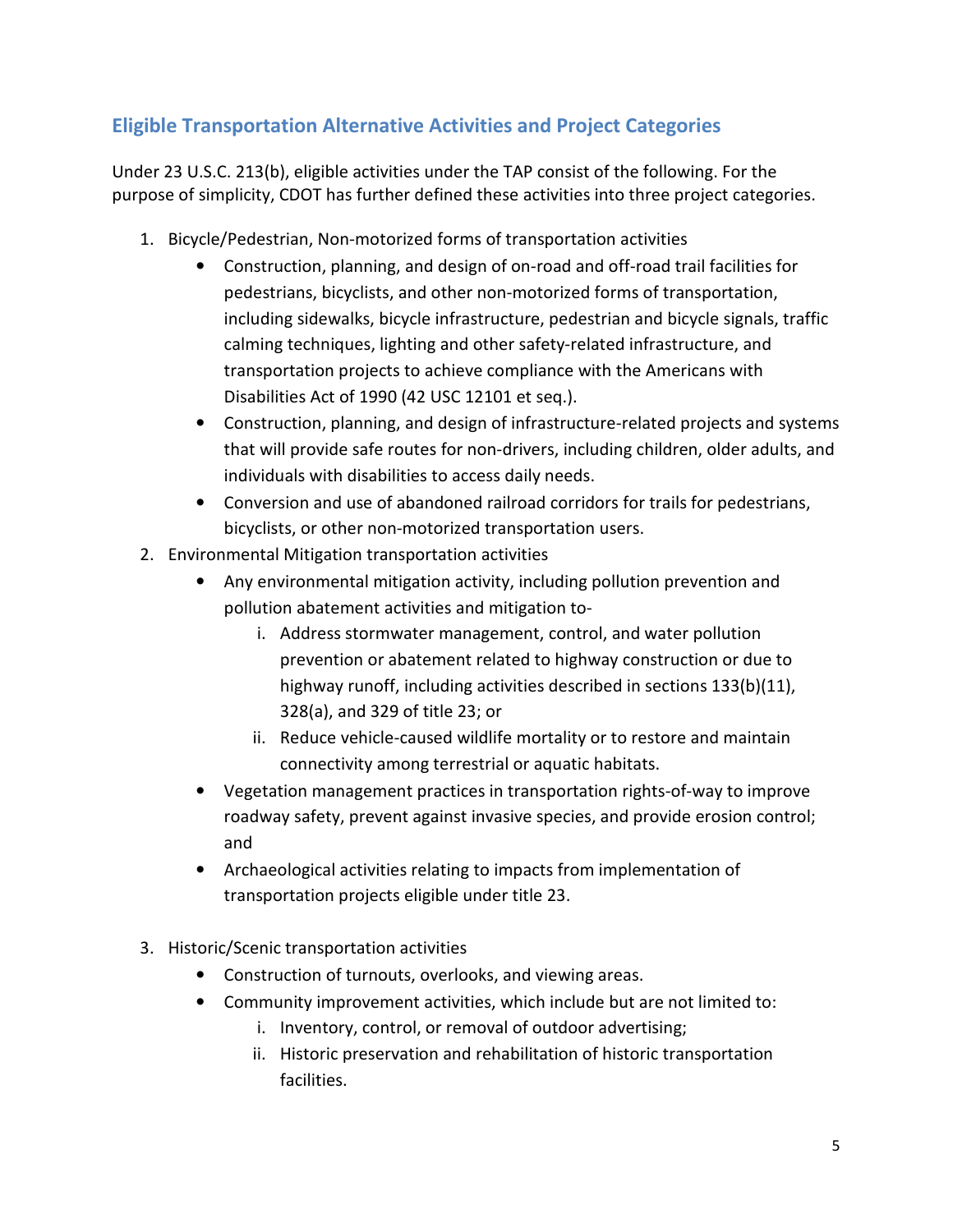## Eligible Transportation Alternative Activities and Project Categories

Under 23 U.S.C. 213(b), eligible activities under the TAP consist of the following. For the purpose of simplicity, CDOT has further defined these activities into three project categories.

- 1. Bicycle/Pedestrian, Non-motorized forms of transportation activities
	- Construction, planning, and design of on-road and off-road trail facilities for pedestrians, bicyclists, and other non-motorized forms of transportation, including sidewalks, bicycle infrastructure, pedestrian and bicycle signals, traffic calming techniques, lighting and other safety-related infrastructure, and transportation projects to achieve compliance with the Americans with Disabilities Act of 1990 (42 USC 12101 et seq.).
	- Construction, planning, and design of infrastructure-related projects and systems that will provide safe routes for non-drivers, including children, older adults, and individuals with disabilities to access daily needs.
	- Conversion and use of abandoned railroad corridors for trails for pedestrians, bicyclists, or other non-motorized transportation users.
- 2. Environmental Mitigation transportation activities
	- Any environmental mitigation activity, including pollution prevention and pollution abatement activities and mitigation to
		- i. Address stormwater management, control, and water pollution prevention or abatement related to highway construction or due to highway runoff, including activities described in sections 133(b)(11), 328(a), and 329 of title 23; or
		- ii. Reduce vehicle-caused wildlife mortality or to restore and maintain connectivity among terrestrial or aquatic habitats.
	- Vegetation management practices in transportation rights-of-way to improve roadway safety, prevent against invasive species, and provide erosion control; and
	- Archaeological activities relating to impacts from implementation of transportation projects eligible under title 23.
- 3. Historic/Scenic transportation activities
	- Construction of turnouts, overlooks, and viewing areas.
	- Community improvement activities, which include but are not limited to:
		- i. Inventory, control, or removal of outdoor advertising;
		- ii. Historic preservation and rehabilitation of historic transportation facilities.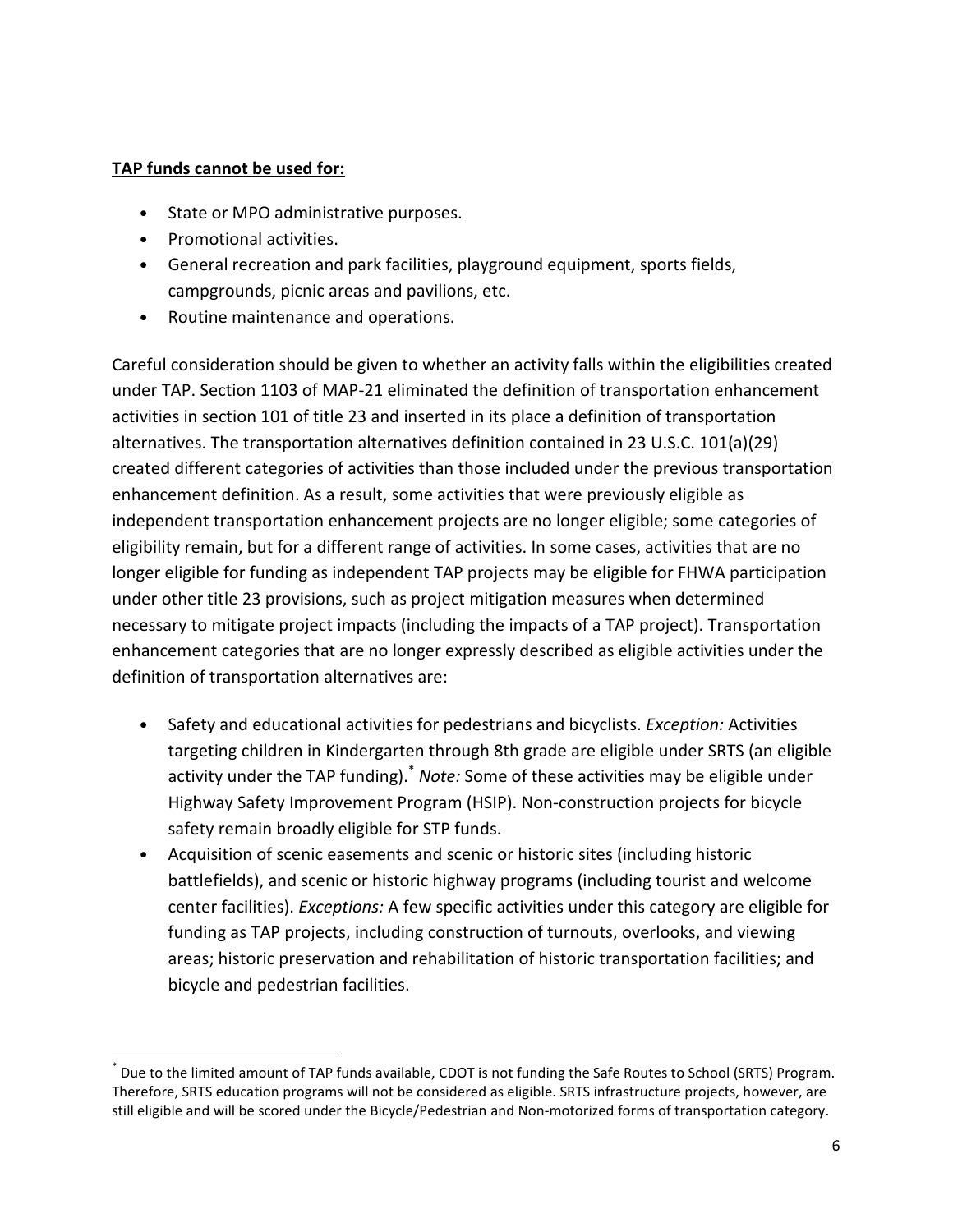#### TAP funds cannot be used for:

- State or MPO administrative purposes.
- Promotional activities.

 $\overline{a}$ 

- General recreation and park facilities, playground equipment, sports fields, campgrounds, picnic areas and pavilions, etc.
- Routine maintenance and operations.

Careful consideration should be given to whether an activity falls within the eligibilities created under TAP. Section 1103 of MAP-21 eliminated the definition of transportation enhancement activities in section 101 of title 23 and inserted in its place a definition of transportation alternatives. The transportation alternatives definition contained in 23 U.S.C. 101(a)(29) created different categories of activities than those included under the previous transportation enhancement definition. As a result, some activities that were previously eligible as independent transportation enhancement projects are no longer eligible; some categories of eligibility remain, but for a different range of activities. In some cases, activities that are no longer eligible for funding as independent TAP projects may be eligible for FHWA participation under other title 23 provisions, such as project mitigation measures when determined necessary to mitigate project impacts (including the impacts of a TAP project). Transportation enhancement categories that are no longer expressly described as eligible activities under the definition of transportation alternatives are:

- Safety and educational activities for pedestrians and bicyclists. *Exception:* Activities targeting children in Kindergarten through 8th grade are eligible under SRTS (an eligible activity under the TAP funding). Note: Some of these activities may be eligible under Highway Safety Improvement Program (HSIP). Non-construction projects for bicycle safety remain broadly eligible for STP funds.
- Acquisition of scenic easements and scenic or historic sites (including historic battlefields), and scenic or historic highway programs (including tourist and welcome center facilities). Exceptions: A few specific activities under this category are eligible for funding as TAP projects, including construction of turnouts, overlooks, and viewing areas; historic preservation and rehabilitation of historic transportation facilities; and bicycle and pedestrian facilities.

<sup>\*</sup> Due to the limited amount of TAP funds available, CDOT is not funding the Safe Routes to School (SRTS) Program. Therefore, SRTS education programs will not be considered as eligible. SRTS infrastructure projects, however, are still eligible and will be scored under the Bicycle/Pedestrian and Non-motorized forms of transportation category.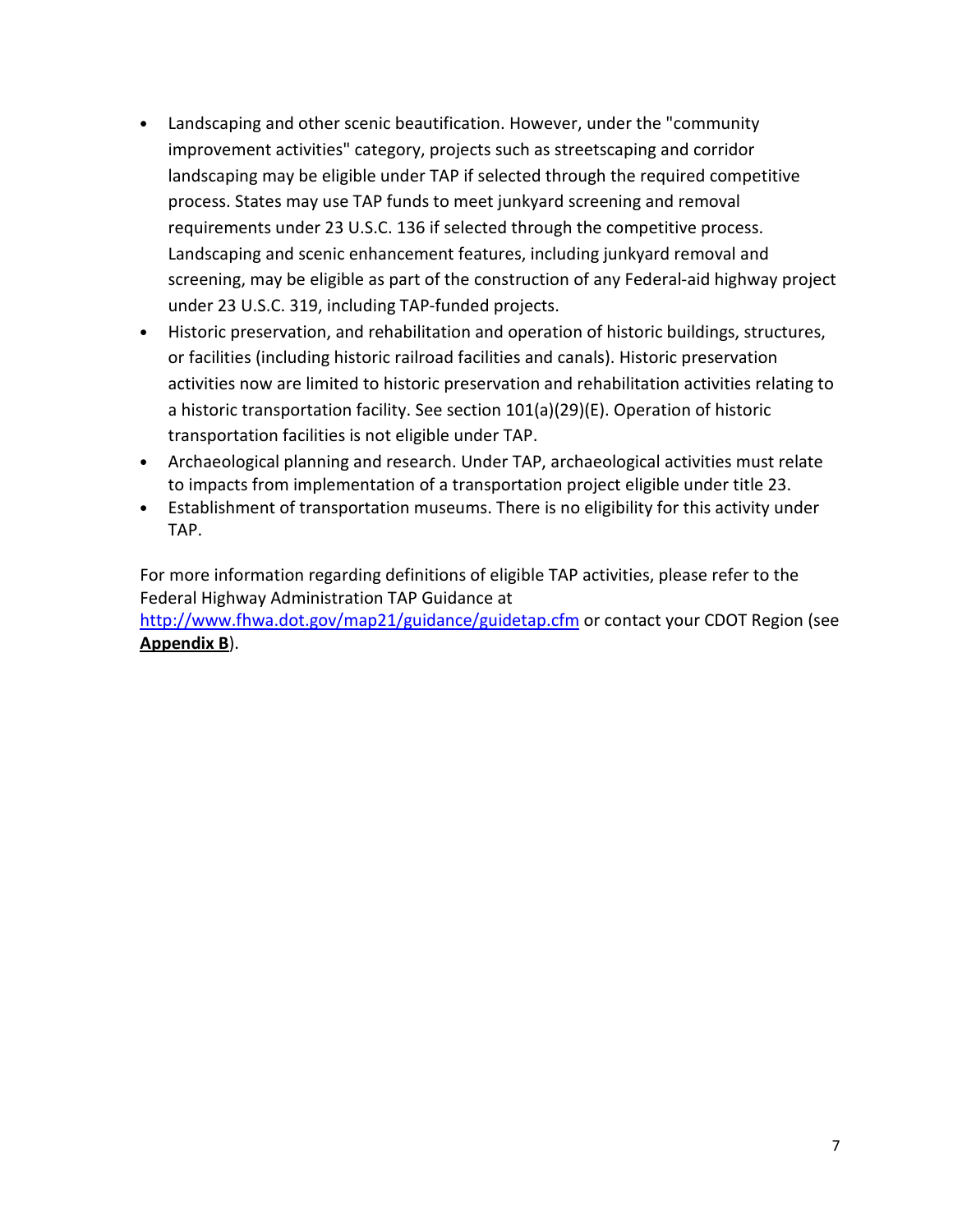- Landscaping and other scenic beautification. However, under the "community improvement activities" category, projects such as streetscaping and corridor landscaping may be eligible under TAP if selected through the required competitive process. States may use TAP funds to meet junkyard screening and removal requirements under 23 U.S.C. 136 if selected through the competitive process. Landscaping and scenic enhancement features, including junkyard removal and screening, may be eligible as part of the construction of any Federal-aid highway project under 23 U.S.C. 319, including TAP-funded projects.
- Historic preservation, and rehabilitation and operation of historic buildings, structures, or facilities (including historic railroad facilities and canals). Historic preservation activities now are limited to historic preservation and rehabilitation activities relating to a historic transportation facility. See section 101(a)(29)(E). Operation of historic transportation facilities is not eligible under TAP.
- Archaeological planning and research. Under TAP, archaeological activities must relate to impacts from implementation of a transportation project eligible under title 23.
- Establishment of transportation museums. There is no eligibility for this activity under TAP.

For more information regarding definitions of eligible TAP activities, please refer to the Federal Highway Administration TAP Guidance at http://www.fhwa.dot.gov/map21/guidance/guidetap.cfm or contact your CDOT Region (see Appendix B).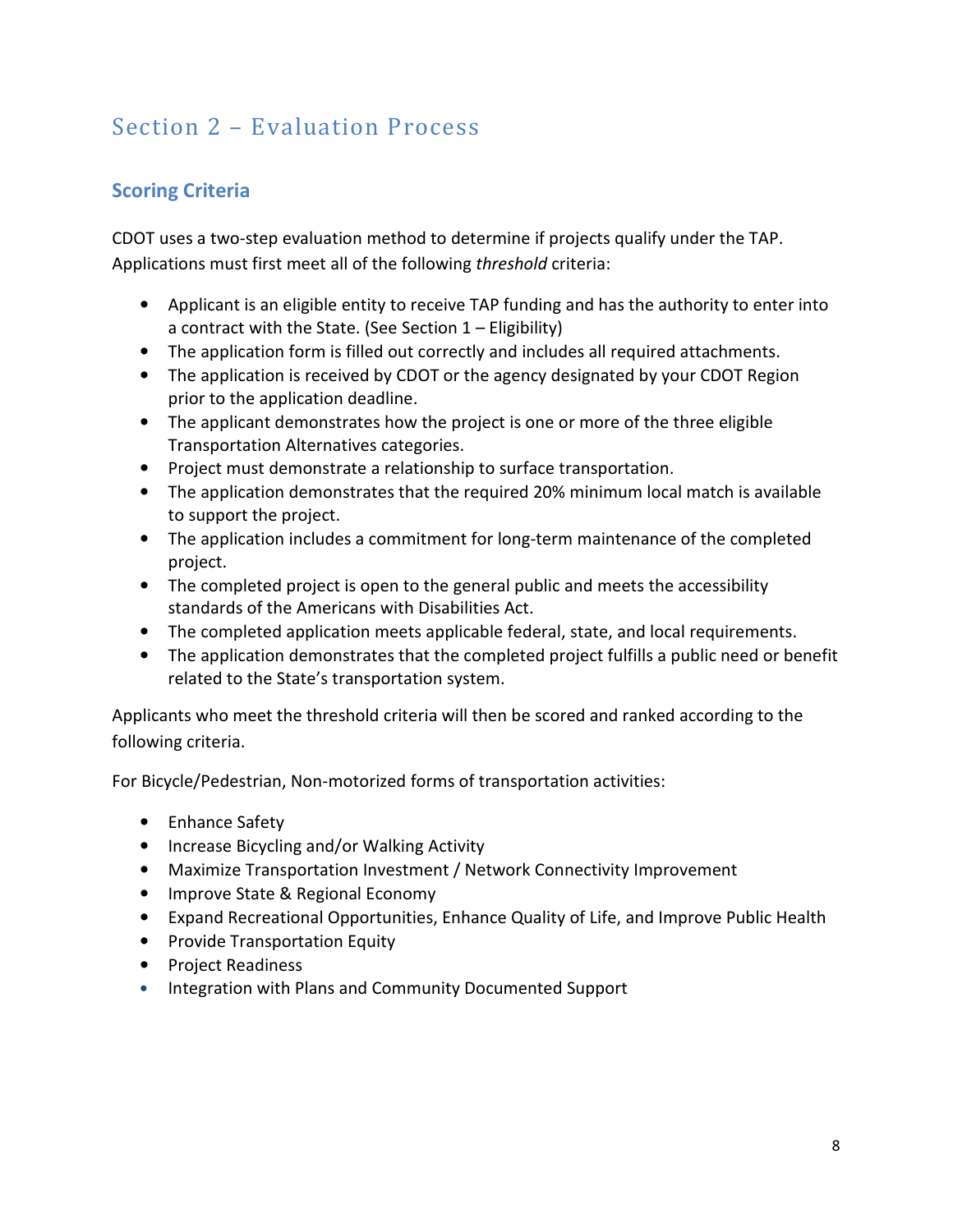## Section 2 – Evaluation Process

## Scoring Criteria

CDOT uses a two-step evaluation method to determine if projects qualify under the TAP. Applications must first meet all of the following threshold criteria:

- Applicant is an eligible entity to receive TAP funding and has the authority to enter into a contract with the State. (See Section 1 – Eligibility)
- The application form is filled out correctly and includes all required attachments.
- The application is received by CDOT or the agency designated by your CDOT Region prior to the application deadline.
- The applicant demonstrates how the project is one or more of the three eligible Transportation Alternatives categories.
- Project must demonstrate a relationship to surface transportation.
- The application demonstrates that the required 20% minimum local match is available to support the project.
- The application includes a commitment for long-term maintenance of the completed project.
- The completed project is open to the general public and meets the accessibility standards of the Americans with Disabilities Act.
- The completed application meets applicable federal, state, and local requirements.
- The application demonstrates that the completed project fulfills a public need or benefit related to the State's transportation system.

Applicants who meet the threshold criteria will then be scored and ranked according to the following criteria.

For Bicycle/Pedestrian, Non-motorized forms of transportation activities:

- Enhance Safety
- Increase Bicycling and/or Walking Activity
- Maximize Transportation Investment / Network Connectivity Improvement
- Improve State & Regional Economy
- Expand Recreational Opportunities, Enhance Quality of Life, and Improve Public Health
- Provide Transportation Equity
- Project Readiness
- Integration with Plans and Community Documented Support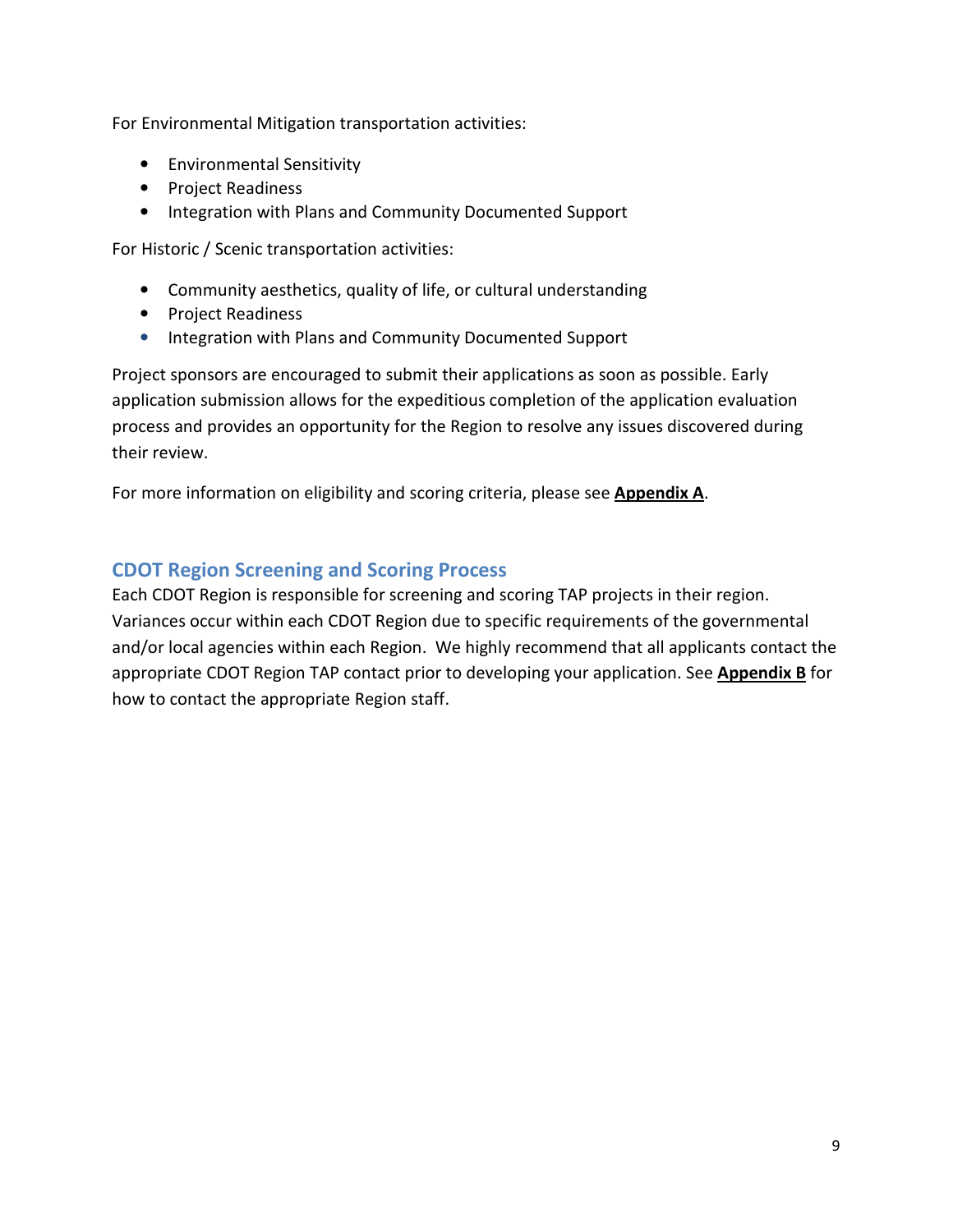For Environmental Mitigation transportation activities:

- Environmental Sensitivity
- Project Readiness
- Integration with Plans and Community Documented Support

For Historic / Scenic transportation activities:

- Community aesthetics, quality of life, or cultural understanding
- Project Readiness
- Integration with Plans and Community Documented Support

Project sponsors are encouraged to submit their applications as soon as possible. Early application submission allows for the expeditious completion of the application evaluation process and provides an opportunity for the Region to resolve any issues discovered during their review.

For more information on eligibility and scoring criteria, please see Appendix A.

### CDOT Region Screening and Scoring Process

Each CDOT Region is responsible for screening and scoring TAP projects in their region. Variances occur within each CDOT Region due to specific requirements of the governmental and/or local agencies within each Region. We highly recommend that all applicants contact the appropriate CDOT Region TAP contact prior to developing your application. See **Appendix B** for how to contact the appropriate Region staff.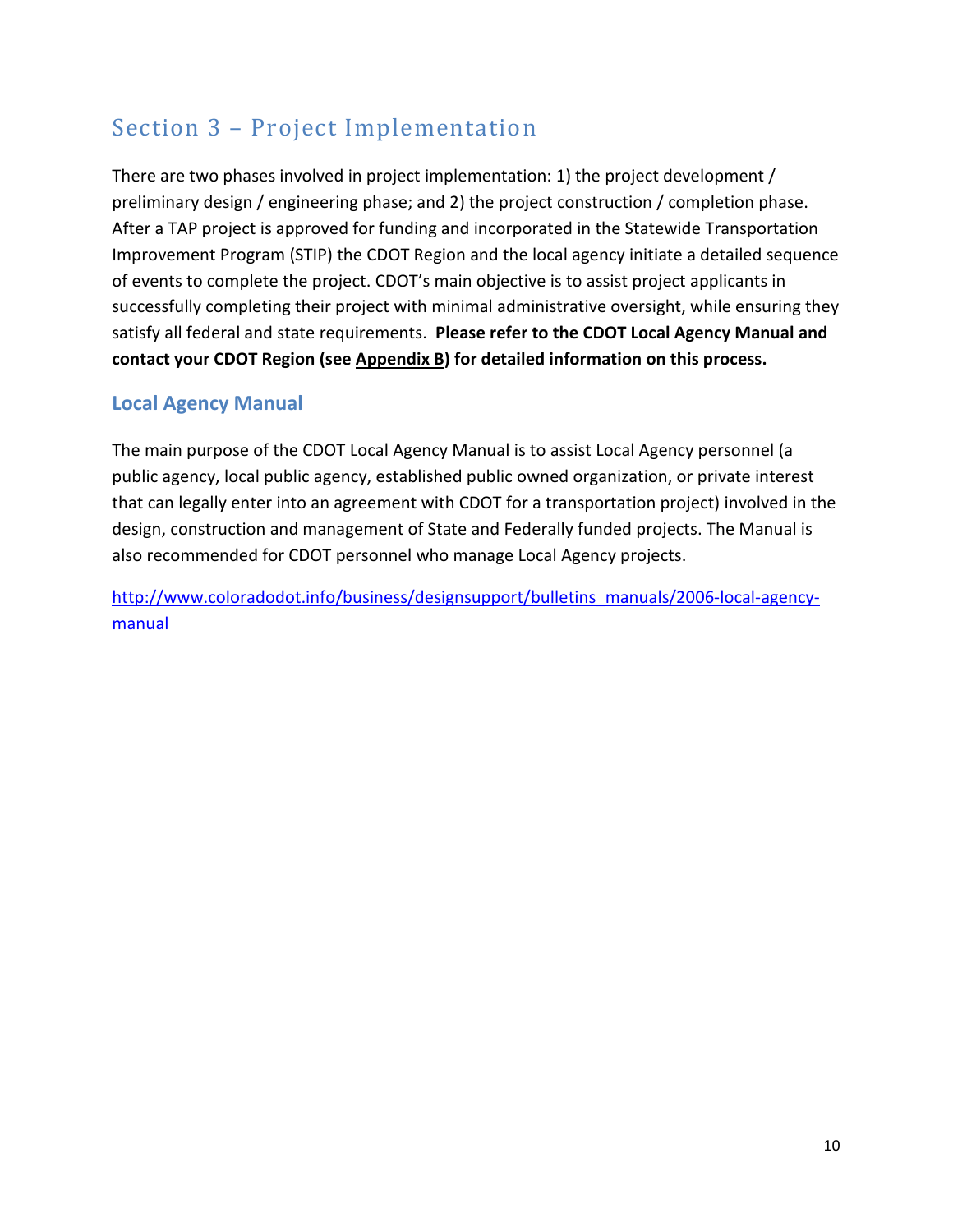## Section 3 – Project Implementation

There are two phases involved in project implementation: 1) the project development / preliminary design / engineering phase; and 2) the project construction / completion phase. After a TAP project is approved for funding and incorporated in the Statewide Transportation Improvement Program (STIP) the CDOT Region and the local agency initiate a detailed sequence of events to complete the project. CDOT's main objective is to assist project applicants in successfully completing their project with minimal administrative oversight, while ensuring they satisfy all federal and state requirements. Please refer to the CDOT Local Agency Manual and contact your CDOT Region (see Appendix B) for detailed information on this process.

## Local Agency Manual

The main purpose of the CDOT Local Agency Manual is to assist Local Agency personnel (a public agency, local public agency, established public owned organization, or private interest that can legally enter into an agreement with CDOT for a transportation project) involved in the design, construction and management of State and Federally funded projects. The Manual is also recommended for CDOT personnel who manage Local Agency projects.

http://www.coloradodot.info/business/designsupport/bulletins\_manuals/2006-local-agencymanual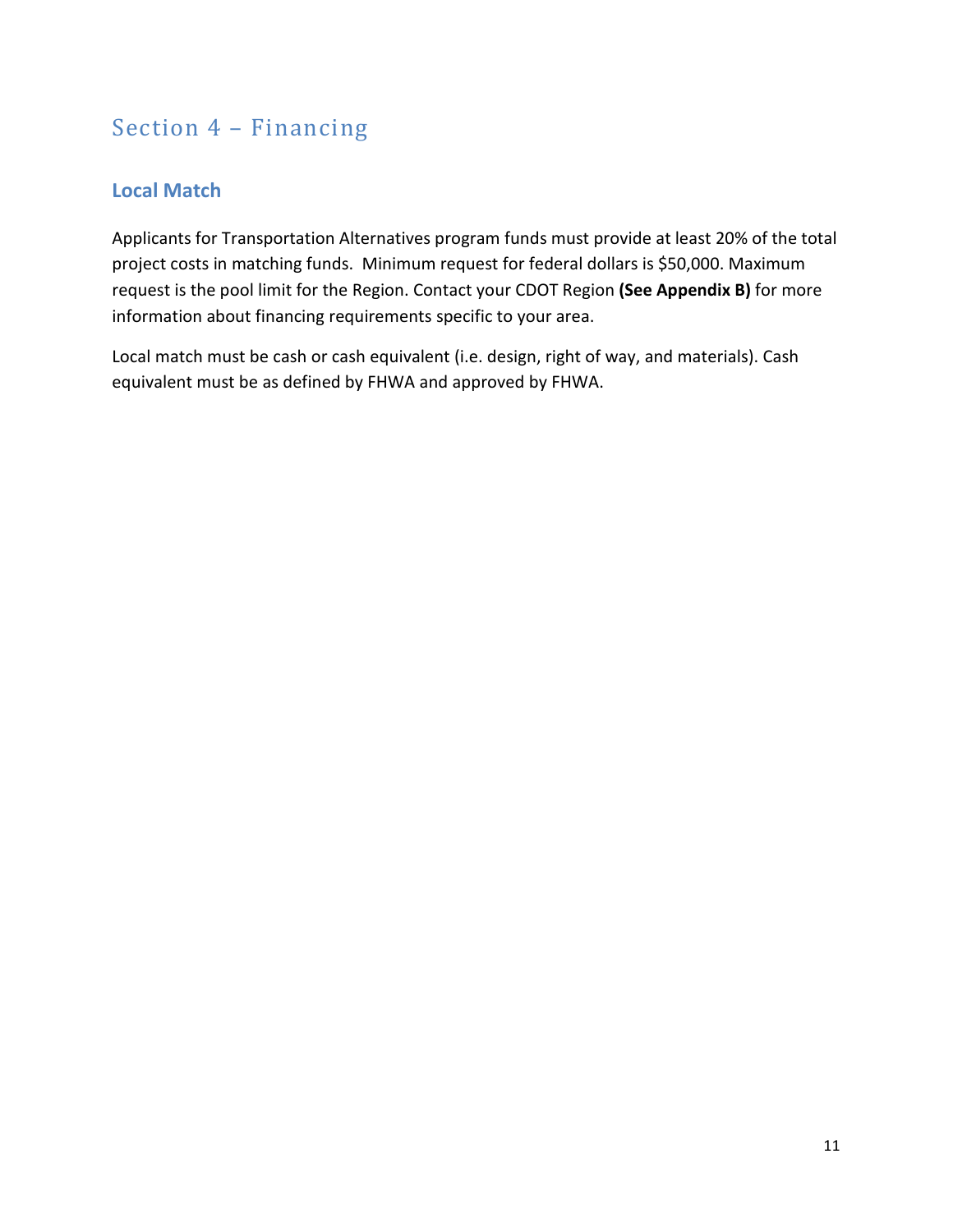## Section 4 – Financing

## Local Match

Applicants for Transportation Alternatives program funds must provide at least 20% of the total project costs in matching funds. Minimum request for federal dollars is \$50,000. Maximum request is the pool limit for the Region. Contact your CDOT Region (See Appendix B) for more information about financing requirements specific to your area.

Local match must be cash or cash equivalent (i.e. design, right of way, and materials). Cash equivalent must be as defined by FHWA and approved by FHWA.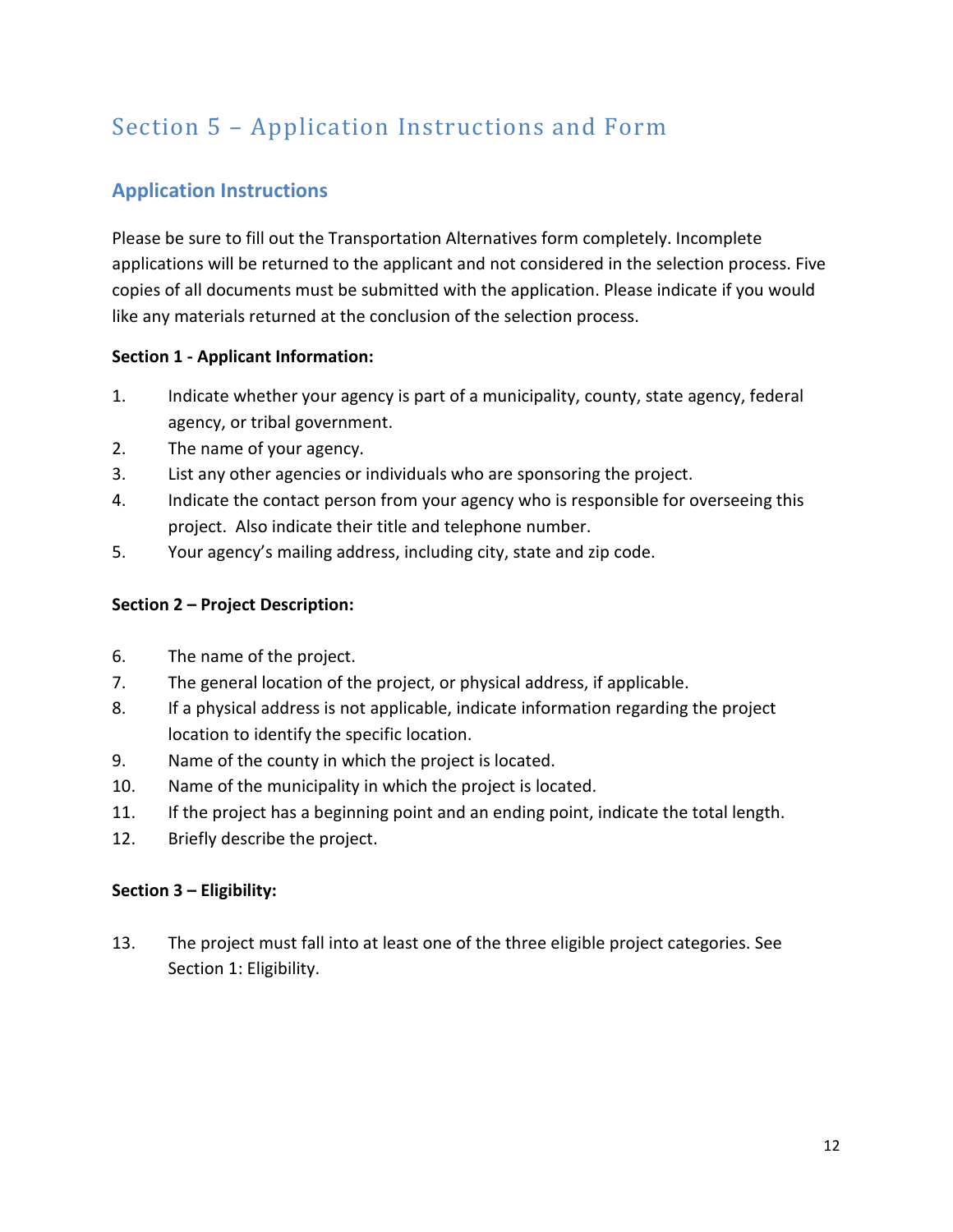## Section 5 – Application Instructions and Form

## Application Instructions

Please be sure to fill out the Transportation Alternatives form completely. Incomplete applications will be returned to the applicant and not considered in the selection process. Five copies of all documents must be submitted with the application. Please indicate if you would like any materials returned at the conclusion of the selection process.

#### Section 1 - Applicant Information:

- 1. Indicate whether your agency is part of a municipality, county, state agency, federal agency, or tribal government.
- 2. The name of your agency.
- 3. List any other agencies or individuals who are sponsoring the project.
- 4. Indicate the contact person from your agency who is responsible for overseeing this project. Also indicate their title and telephone number.
- 5. Your agency's mailing address, including city, state and zip code.

#### Section 2 – Project Description:

- 6. The name of the project.
- 7. The general location of the project, or physical address, if applicable.
- 8. If a physical address is not applicable, indicate information regarding the project location to identify the specific location.
- 9. Name of the county in which the project is located.
- 10. Name of the municipality in which the project is located.
- 11. If the project has a beginning point and an ending point, indicate the total length.
- 12. Briefly describe the project.

#### Section 3 – Eligibility:

13. The project must fall into at least one of the three eligible project categories. See Section 1: Eligibility.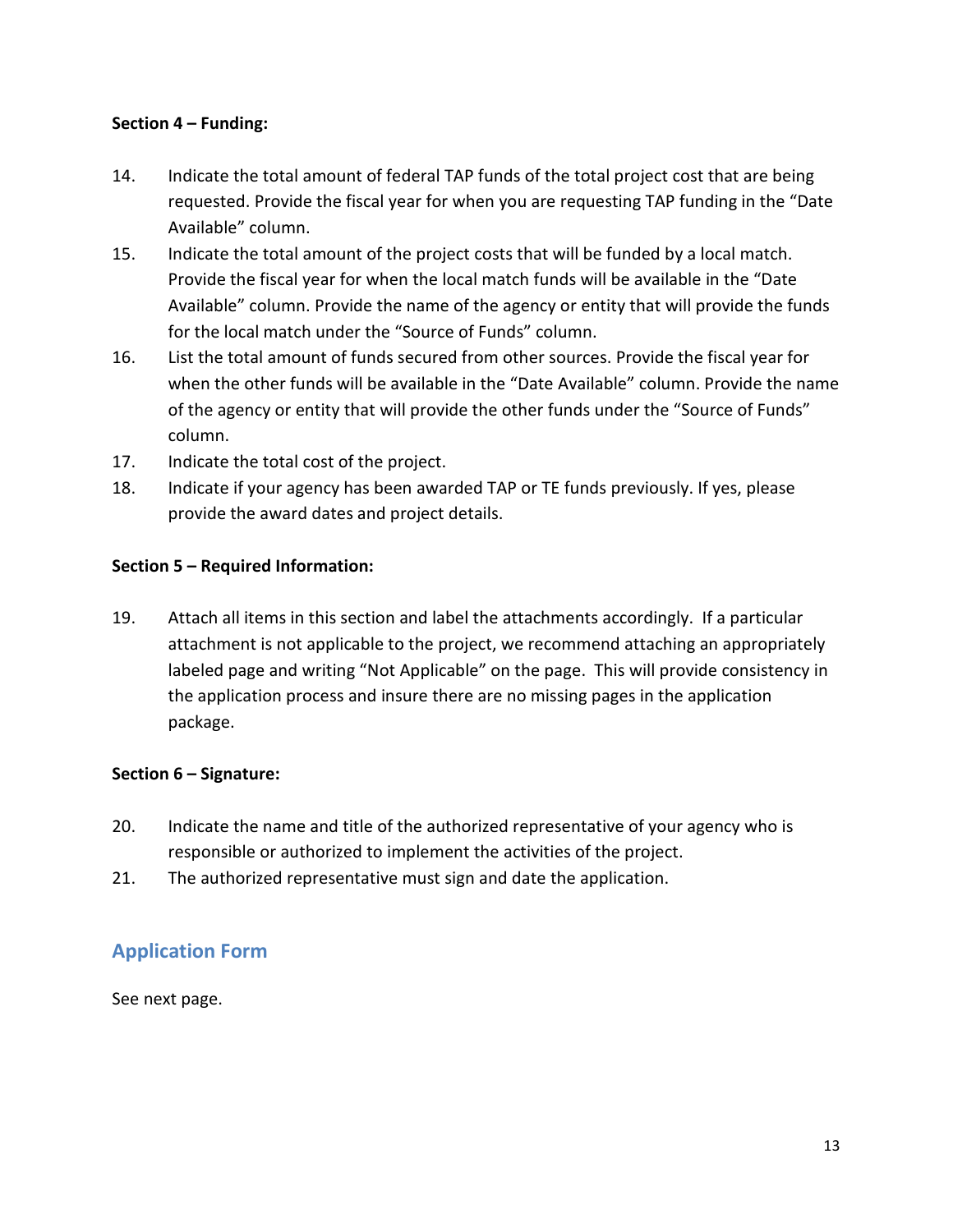#### Section 4 – Funding:

- 14. Indicate the total amount of federal TAP funds of the total project cost that are being requested. Provide the fiscal year for when you are requesting TAP funding in the "Date Available" column.
- 15. Indicate the total amount of the project costs that will be funded by a local match. Provide the fiscal year for when the local match funds will be available in the "Date Available" column. Provide the name of the agency or entity that will provide the funds for the local match under the "Source of Funds" column.
- 16. List the total amount of funds secured from other sources. Provide the fiscal year for when the other funds will be available in the "Date Available" column. Provide the name of the agency or entity that will provide the other funds under the "Source of Funds" column.
- 17. Indicate the total cost of the project.
- 18. Indicate if your agency has been awarded TAP or TE funds previously. If yes, please provide the award dates and project details.

#### Section 5 – Required Information:

19. Attach all items in this section and label the attachments accordingly. If a particular attachment is not applicable to the project, we recommend attaching an appropriately labeled page and writing "Not Applicable" on the page. This will provide consistency in the application process and insure there are no missing pages in the application package.

#### Section 6 – Signature:

- 20. Indicate the name and title of the authorized representative of your agency who is responsible or authorized to implement the activities of the project.
- 21. The authorized representative must sign and date the application.

### Application Form

See next page.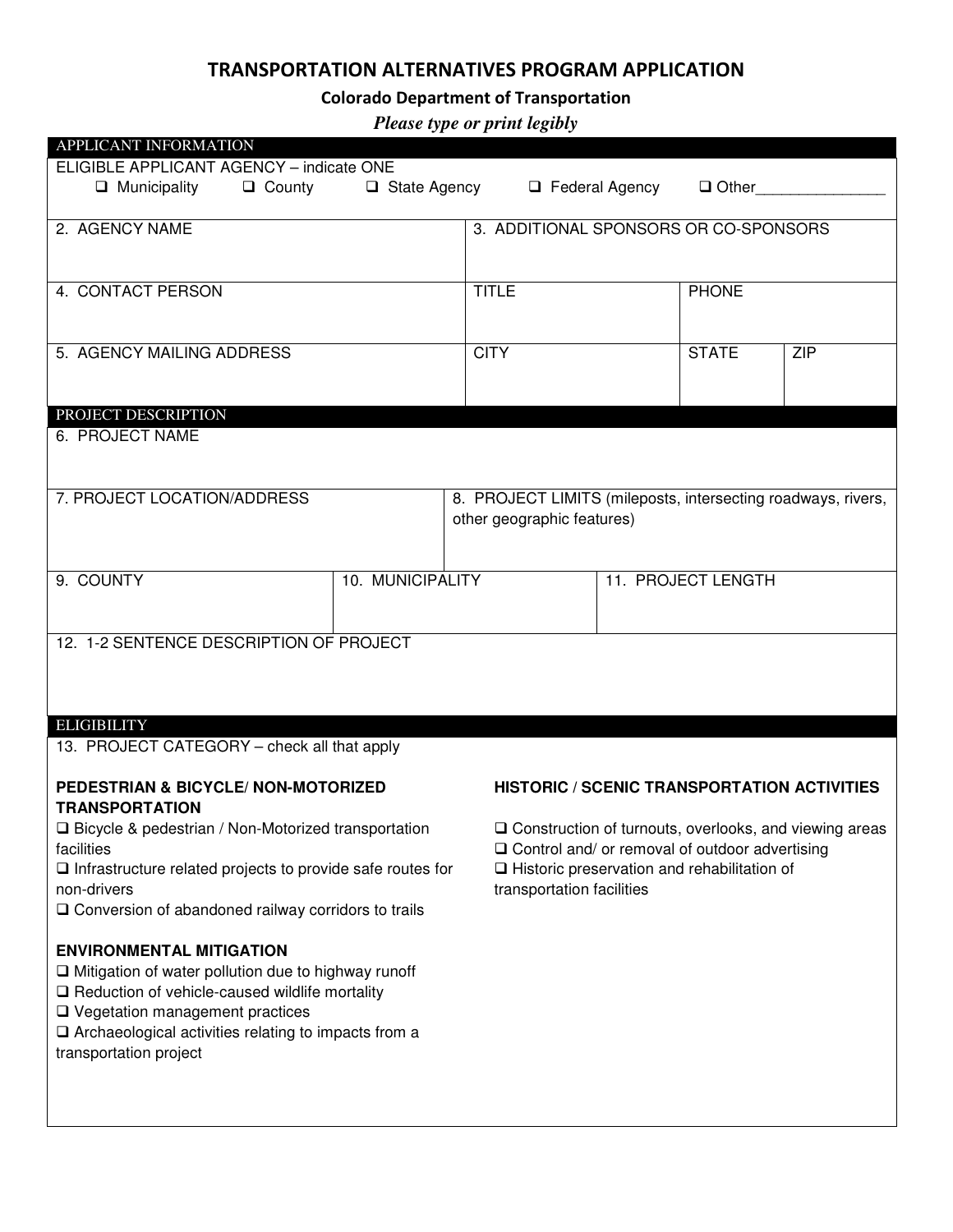### TRANSPORTATION ALTERNATIVES PROGRAM APPLICATION

## Colorado Department of Transportation

*Please type or print legibly* 

| APPLICANT INFORMATION                                                                           |                                                              |                                                                                                                                                                                                              |              |            |
|-------------------------------------------------------------------------------------------------|--------------------------------------------------------------|--------------------------------------------------------------------------------------------------------------------------------------------------------------------------------------------------------------|--------------|------------|
| ELIGIBLE APPLICANT AGENCY - indicate ONE                                                        |                                                              |                                                                                                                                                                                                              |              |            |
| $\Box$ Municipality<br>$\Box$ County<br>□ State Agency                                          |                                                              | $\Box$ Federal Agency                                                                                                                                                                                        | $\Box$ Other |            |
| 2. AGENCY NAME                                                                                  |                                                              | 3. ADDITIONAL SPONSORS OR CO-SPONSORS                                                                                                                                                                        |              |            |
|                                                                                                 |                                                              |                                                                                                                                                                                                              |              |            |
| 4. CONTACT PERSON                                                                               | <b>TITLE</b>                                                 |                                                                                                                                                                                                              | <b>PHONE</b> |            |
|                                                                                                 |                                                              |                                                                                                                                                                                                              |              |            |
| 5. AGENCY MAILING ADDRESS                                                                       | <b>CITY</b>                                                  |                                                                                                                                                                                                              | <b>STATE</b> | <b>ZIP</b> |
|                                                                                                 |                                                              |                                                                                                                                                                                                              |              |            |
|                                                                                                 |                                                              |                                                                                                                                                                                                              |              |            |
| PROJECT DESCRIPTION<br>6. PROJECT NAME                                                          |                                                              |                                                                                                                                                                                                              |              |            |
|                                                                                                 |                                                              |                                                                                                                                                                                                              |              |            |
| 7. PROJECT LOCATION/ADDRESS                                                                     | 8. PROJECT LIMITS (mileposts, intersecting roadways, rivers, |                                                                                                                                                                                                              |              |            |
|                                                                                                 | other geographic features)                                   |                                                                                                                                                                                                              |              |            |
|                                                                                                 |                                                              |                                                                                                                                                                                                              |              |            |
| 9. COUNTY<br>10. MUNICIPALITY                                                                   |                                                              | 11. PROJECT LENGTH                                                                                                                                                                                           |              |            |
|                                                                                                 |                                                              |                                                                                                                                                                                                              |              |            |
|                                                                                                 |                                                              |                                                                                                                                                                                                              |              |            |
| 12. 1-2 SENTENCE DESCRIPTION OF PROJECT                                                         |                                                              |                                                                                                                                                                                                              |              |            |
|                                                                                                 |                                                              |                                                                                                                                                                                                              |              |            |
|                                                                                                 |                                                              |                                                                                                                                                                                                              |              |            |
| <b>ELIGIBILITY</b><br>13. PROJECT CATEGORY - check all that apply                               |                                                              |                                                                                                                                                                                                              |              |            |
|                                                                                                 |                                                              |                                                                                                                                                                                                              |              |            |
| PEDESTRIAN & BICYCLE/ NON-MOTORIZED<br><b>TRANSPORTATION</b>                                    |                                                              | <b>HISTORIC / SCENIC TRANSPORTATION ACTIVITIES</b>                                                                                                                                                           |              |            |
| □ Bicycle & pedestrian / Non-Motorized transportation<br>facilities                             |                                                              | $\square$ Construction of turnouts, overlooks, and viewing areas<br>$\Box$ Control and/ or removal of outdoor advertising<br>$\Box$ Historic preservation and rehabilitation of<br>transportation facilities |              |            |
| $\Box$ Infrastructure related projects to provide safe routes for                               |                                                              |                                                                                                                                                                                                              |              |            |
| non-drivers                                                                                     |                                                              |                                                                                                                                                                                                              |              |            |
| $\Box$ Conversion of abandoned railway corridors to trails                                      |                                                              |                                                                                                                                                                                                              |              |            |
| <b>ENVIRONMENTAL MITIGATION</b>                                                                 |                                                              |                                                                                                                                                                                                              |              |            |
| $\Box$ Mitigation of water pollution due to highway runoff                                      |                                                              |                                                                                                                                                                                                              |              |            |
| $\Box$ Reduction of vehicle-caused wildlife mortality<br>$\Box$ Vegetation management practices |                                                              |                                                                                                                                                                                                              |              |            |
| $\Box$ Archaeological activities relating to impacts from a                                     |                                                              |                                                                                                                                                                                                              |              |            |
| transportation project                                                                          |                                                              |                                                                                                                                                                                                              |              |            |
|                                                                                                 |                                                              |                                                                                                                                                                                                              |              |            |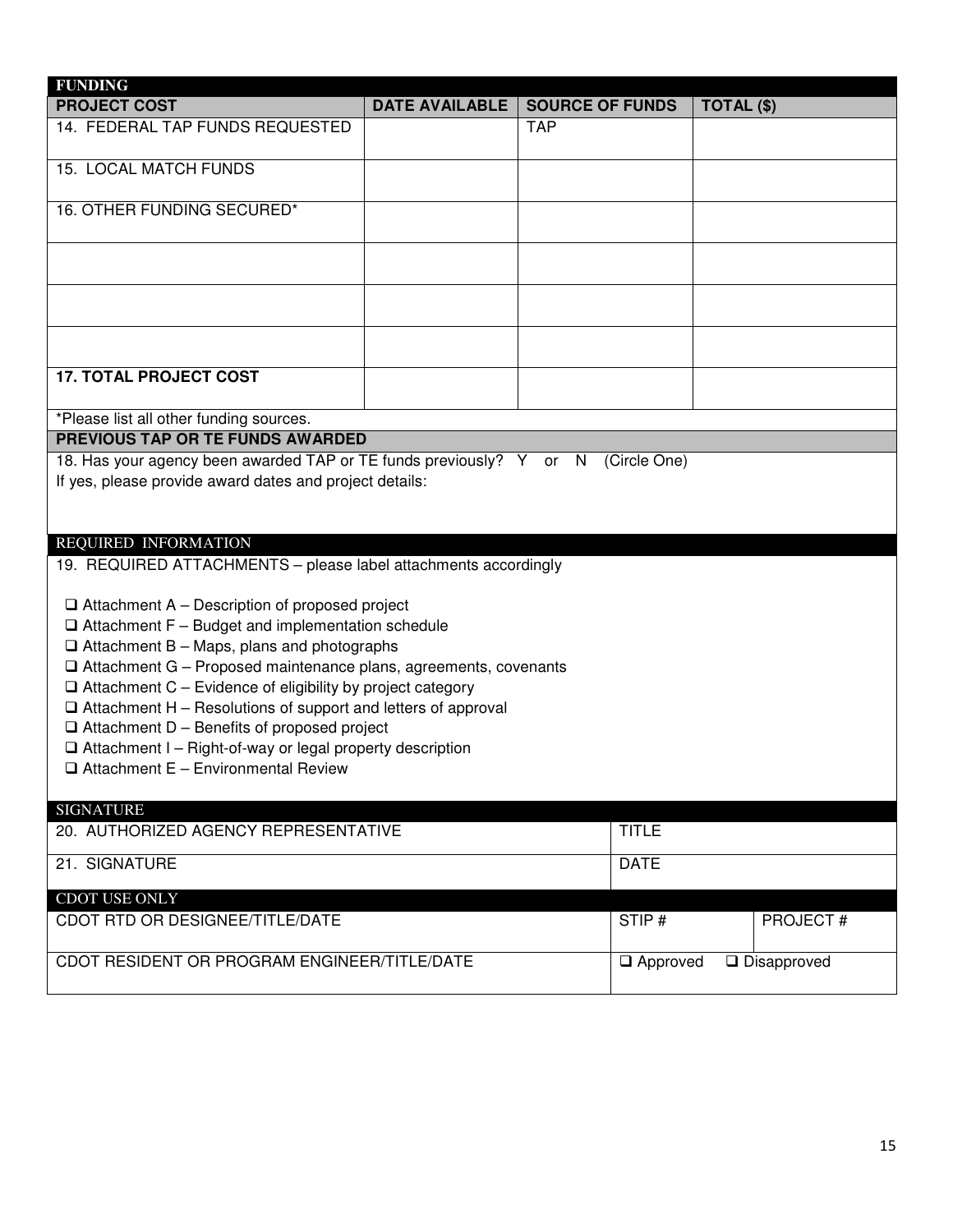| <b>FUNDING</b>                                                                                                                                                                                                                                                                                                                                                                                                                                                                                                                                                                                                                                                                                                          |                       |                        |                       |
|-------------------------------------------------------------------------------------------------------------------------------------------------------------------------------------------------------------------------------------------------------------------------------------------------------------------------------------------------------------------------------------------------------------------------------------------------------------------------------------------------------------------------------------------------------------------------------------------------------------------------------------------------------------------------------------------------------------------------|-----------------------|------------------------|-----------------------|
| <b>PROJECT COST</b>                                                                                                                                                                                                                                                                                                                                                                                                                                                                                                                                                                                                                                                                                                     | <b>DATE AVAILABLE</b> | <b>SOURCE OF FUNDS</b> | TOTAL (\$)            |
| 14. FEDERAL TAP FUNDS REQUESTED                                                                                                                                                                                                                                                                                                                                                                                                                                                                                                                                                                                                                                                                                         |                       | <b>TAP</b>             |                       |
| <b>15. LOCAL MATCH FUNDS</b>                                                                                                                                                                                                                                                                                                                                                                                                                                                                                                                                                                                                                                                                                            |                       |                        |                       |
| 16. OTHER FUNDING SECURED*                                                                                                                                                                                                                                                                                                                                                                                                                                                                                                                                                                                                                                                                                              |                       |                        |                       |
|                                                                                                                                                                                                                                                                                                                                                                                                                                                                                                                                                                                                                                                                                                                         |                       |                        |                       |
|                                                                                                                                                                                                                                                                                                                                                                                                                                                                                                                                                                                                                                                                                                                         |                       |                        |                       |
|                                                                                                                                                                                                                                                                                                                                                                                                                                                                                                                                                                                                                                                                                                                         |                       |                        |                       |
| <b>17. TOTAL PROJECT COST</b>                                                                                                                                                                                                                                                                                                                                                                                                                                                                                                                                                                                                                                                                                           |                       |                        |                       |
| *Please list all other funding sources.                                                                                                                                                                                                                                                                                                                                                                                                                                                                                                                                                                                                                                                                                 |                       |                        |                       |
| <b>PREVIOUS TAP OR TE FUNDS AWARDED</b><br>18. Has your agency been awarded TAP or TE funds previously? Y or N (Circle One)                                                                                                                                                                                                                                                                                                                                                                                                                                                                                                                                                                                             |                       |                        |                       |
| If yes, please provide award dates and project details:<br>REQUIRED INFORMATION<br>19. REQUIRED ATTACHMENTS - please label attachments accordingly<br>$\Box$ Attachment A – Description of proposed project<br>$\Box$ Attachment F - Budget and implementation schedule<br>$\Box$ Attachment B – Maps, plans and photographs<br>□ Attachment G - Proposed maintenance plans, agreements, covenants<br>$\Box$ Attachment C – Evidence of eligibility by project category<br>$\Box$ Attachment H – Resolutions of support and letters of approval<br>$\Box$ Attachment D – Benefits of proposed project<br>$\Box$ Attachment I - Right-of-way or legal property description<br>$\Box$ Attachment E - Environmental Review |                       |                        |                       |
| <b>SIGNATURE</b><br>20. AUTHORIZED AGENCY REPRESENTATIVE                                                                                                                                                                                                                                                                                                                                                                                                                                                                                                                                                                                                                                                                |                       | <b>TITLE</b>           |                       |
|                                                                                                                                                                                                                                                                                                                                                                                                                                                                                                                                                                                                                                                                                                                         |                       |                        |                       |
| 21. SIGNATURE                                                                                                                                                                                                                                                                                                                                                                                                                                                                                                                                                                                                                                                                                                           |                       | <b>DATE</b>            |                       |
| CDOT USE ONLY<br><b>CDOT RTD OR DESIGNEE/TITLE/DATE</b>                                                                                                                                                                                                                                                                                                                                                                                                                                                                                                                                                                                                                                                                 |                       | STIP#                  | <b>PROJECT#</b>       |
|                                                                                                                                                                                                                                                                                                                                                                                                                                                                                                                                                                                                                                                                                                                         |                       |                        |                       |
| CDOT RESIDENT OR PROGRAM ENGINEER/TITLE/DATE                                                                                                                                                                                                                                                                                                                                                                                                                                                                                                                                                                                                                                                                            |                       | $\Box$ Approved        | $\square$ Disapproved |
|                                                                                                                                                                                                                                                                                                                                                                                                                                                                                                                                                                                                                                                                                                                         |                       |                        |                       |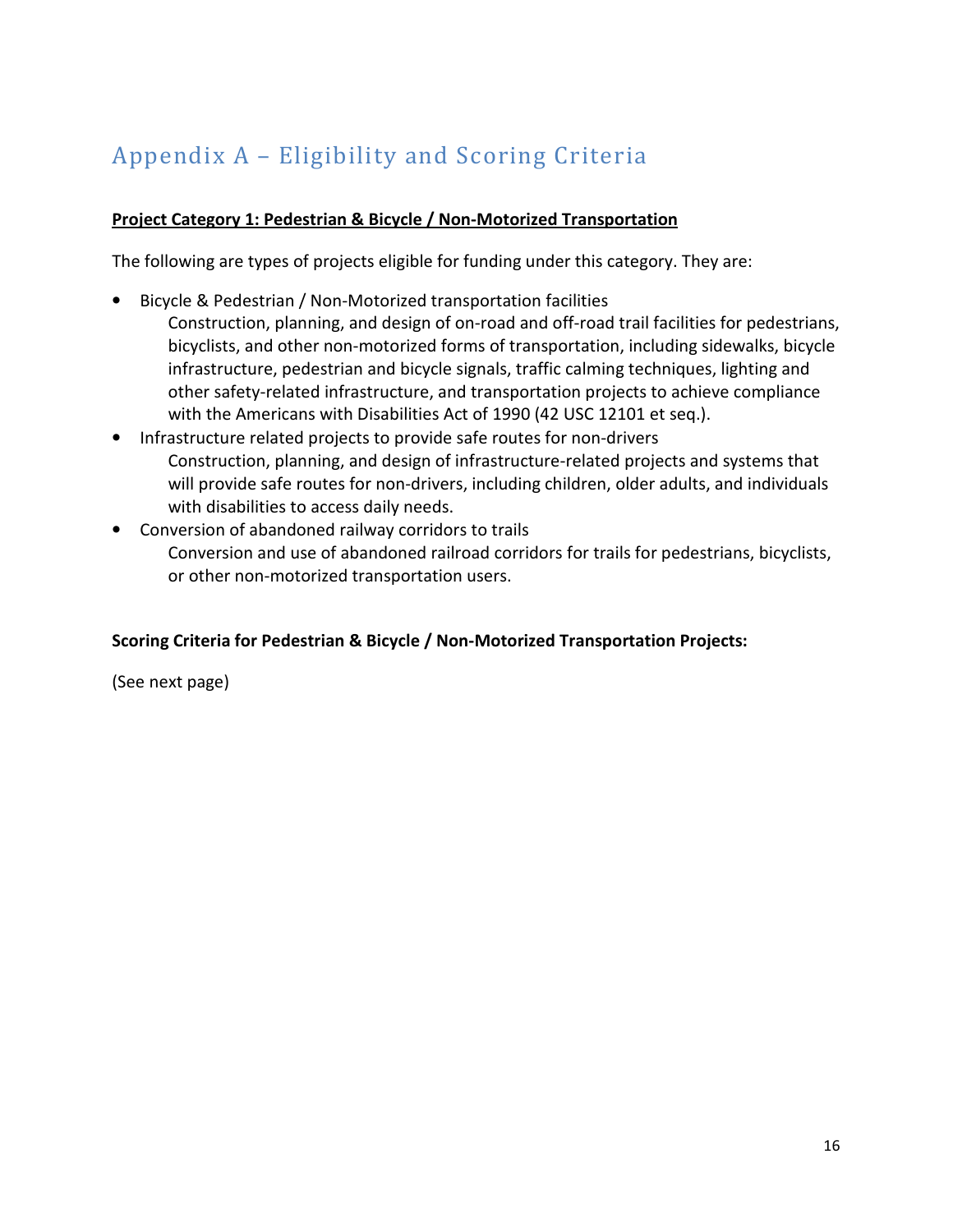## Appendix A – Eligibility and Scoring Criteria

#### Project Category 1: Pedestrian & Bicycle / Non-Motorized Transportation

The following are types of projects eligible for funding under this category. They are:

- Bicycle & Pedestrian / Non-Motorized transportation facilities Construction, planning, and design of on-road and off-road trail facilities for pedestrians, bicyclists, and other non-motorized forms of transportation, including sidewalks, bicycle infrastructure, pedestrian and bicycle signals, traffic calming techniques, lighting and other safety-related infrastructure, and transportation projects to achieve compliance with the Americans with Disabilities Act of 1990 (42 USC 12101 et seq.).
- Infrastructure related projects to provide safe routes for non-drivers Construction, planning, and design of infrastructure-related projects and systems that will provide safe routes for non-drivers, including children, older adults, and individuals with disabilities to access daily needs.
- Conversion of abandoned railway corridors to trails Conversion and use of abandoned railroad corridors for trails for pedestrians, bicyclists, or other non-motorized transportation users.

#### Scoring Criteria for Pedestrian & Bicycle / Non-Motorized Transportation Projects:

(See next page)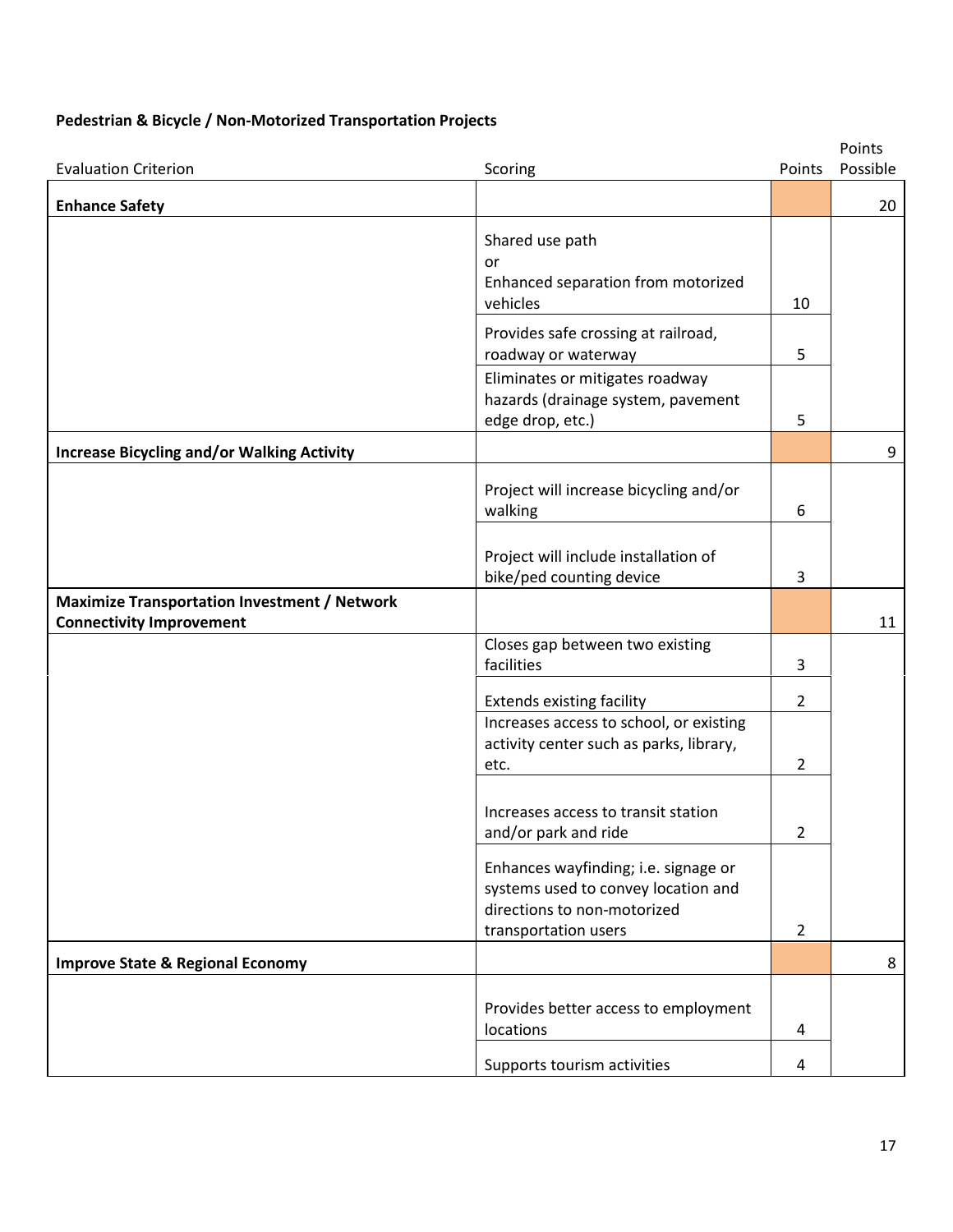#### Pedestrian & Bicycle / Non-Motorized Transportation Projects

| <b>Evaluation Criterion</b>                                                            | Scoring                                                                                                                            | Points              | Points<br>Possible |
|----------------------------------------------------------------------------------------|------------------------------------------------------------------------------------------------------------------------------------|---------------------|--------------------|
| <b>Enhance Safety</b>                                                                  |                                                                                                                                    |                     | 20                 |
|                                                                                        | Shared use path<br>or<br>Enhanced separation from motorized<br>vehicles                                                            | 10                  |                    |
|                                                                                        | Provides safe crossing at railroad,<br>roadway or waterway                                                                         | 5                   |                    |
|                                                                                        | Eliminates or mitigates roadway<br>hazards (drainage system, pavement<br>edge drop, etc.)                                          | 5                   |                    |
| <b>Increase Bicycling and/or Walking Activity</b>                                      |                                                                                                                                    |                     | 9                  |
|                                                                                        | Project will increase bicycling and/or<br>walking                                                                                  | 6                   |                    |
|                                                                                        | Project will include installation of<br>bike/ped counting device                                                                   | 3                   |                    |
| <b>Maximize Transportation Investment / Network</b><br><b>Connectivity Improvement</b> |                                                                                                                                    |                     | 11                 |
|                                                                                        | Closes gap between two existing<br>facilities                                                                                      | 3                   |                    |
|                                                                                        | <b>Extends existing facility</b>                                                                                                   | $\overline{2}$      |                    |
|                                                                                        | Increases access to school, or existing<br>activity center such as parks, library,<br>etc.                                         | 2                   |                    |
|                                                                                        | Increases access to transit station<br>and/or park and ride                                                                        | 2                   |                    |
|                                                                                        | Enhances wayfinding; i.e. signage or<br>systems used to convey location and<br>directions to non-motorized<br>transportation users | $\overline{2}$      |                    |
| <b>Improve State &amp; Regional Economy</b>                                            |                                                                                                                                    |                     | 8                  |
|                                                                                        | Provides better access to employment<br>locations<br>Supports tourism activities                                                   | 4<br>$\overline{a}$ |                    |
|                                                                                        |                                                                                                                                    |                     |                    |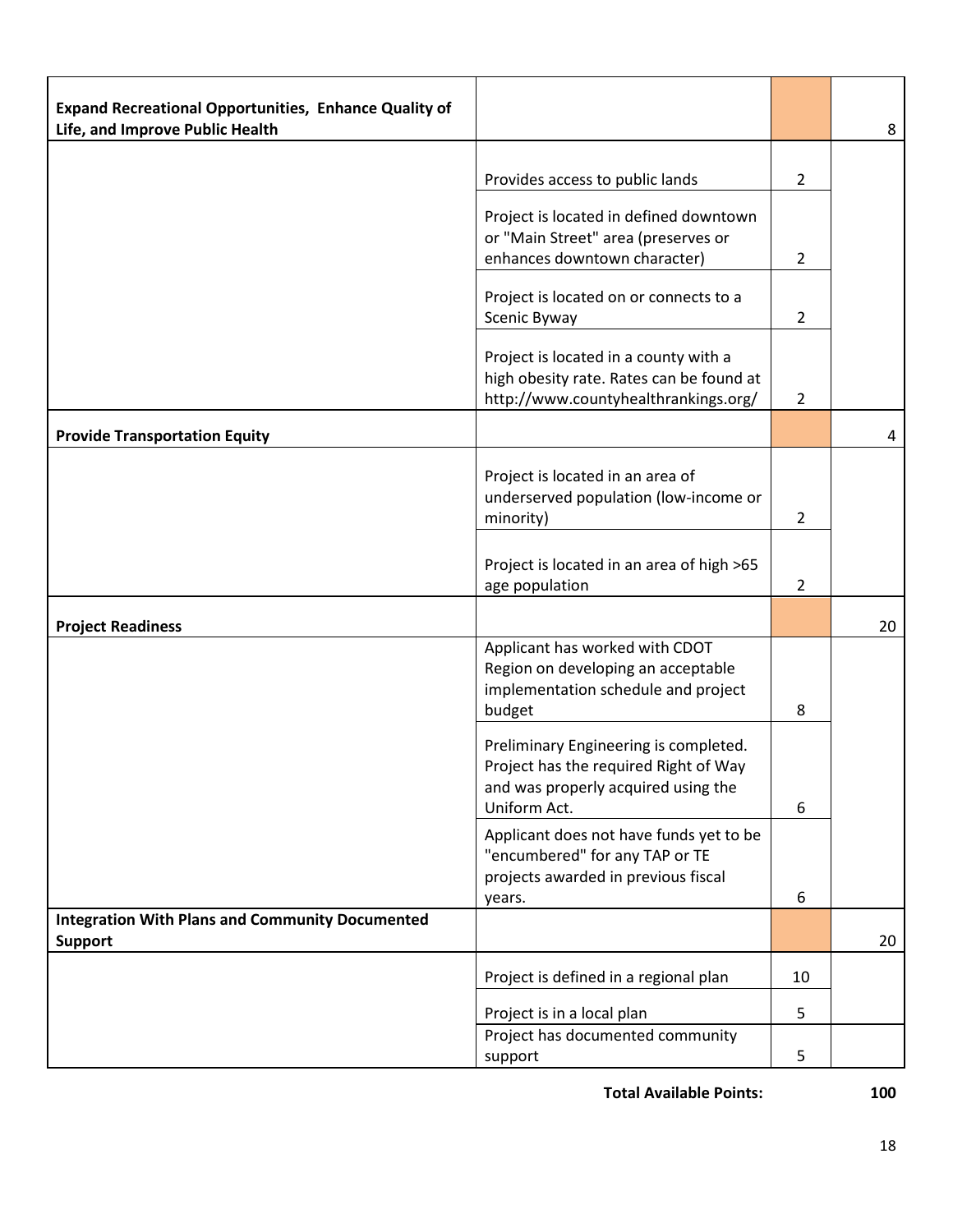| <b>Expand Recreational Opportunities, Enhance Quality of</b><br>Life, and Improve Public Health |                                                                                                                                       |                | 8  |
|-------------------------------------------------------------------------------------------------|---------------------------------------------------------------------------------------------------------------------------------------|----------------|----|
|                                                                                                 |                                                                                                                                       |                |    |
|                                                                                                 | Provides access to public lands                                                                                                       | $\overline{2}$ |    |
|                                                                                                 | Project is located in defined downtown<br>or "Main Street" area (preserves or<br>enhances downtown character)                         | $\overline{2}$ |    |
|                                                                                                 | Project is located on or connects to a<br>Scenic Byway                                                                                | $\overline{2}$ |    |
|                                                                                                 | Project is located in a county with a<br>high obesity rate. Rates can be found at<br>http://www.countyhealthrankings.org/             | $\overline{2}$ |    |
| <b>Provide Transportation Equity</b>                                                            |                                                                                                                                       |                | 4  |
|                                                                                                 | Project is located in an area of<br>underserved population (low-income or<br>minority)                                                | $\overline{2}$ |    |
|                                                                                                 | Project is located in an area of high >65<br>age population                                                                           | $\overline{2}$ |    |
| <b>Project Readiness</b>                                                                        |                                                                                                                                       |                | 20 |
|                                                                                                 | Applicant has worked with CDOT<br>Region on developing an acceptable<br>implementation schedule and project<br>budget                 | 8              |    |
|                                                                                                 | Preliminary Engineering is completed.<br>Project has the required Right of Way<br>and was properly acquired using the<br>Uniform Act. | 6              |    |
|                                                                                                 | Applicant does not have funds yet to be<br>"encumbered" for any TAP or TE<br>projects awarded in previous fiscal<br>years.            | 6              |    |
| <b>Integration With Plans and Community Documented</b><br><b>Support</b>                        |                                                                                                                                       |                | 20 |
|                                                                                                 | Project is defined in a regional plan                                                                                                 | 10             |    |
|                                                                                                 | Project is in a local plan                                                                                                            | 5              |    |
|                                                                                                 | Project has documented community<br>support                                                                                           | 5              |    |

Total Available Points: 100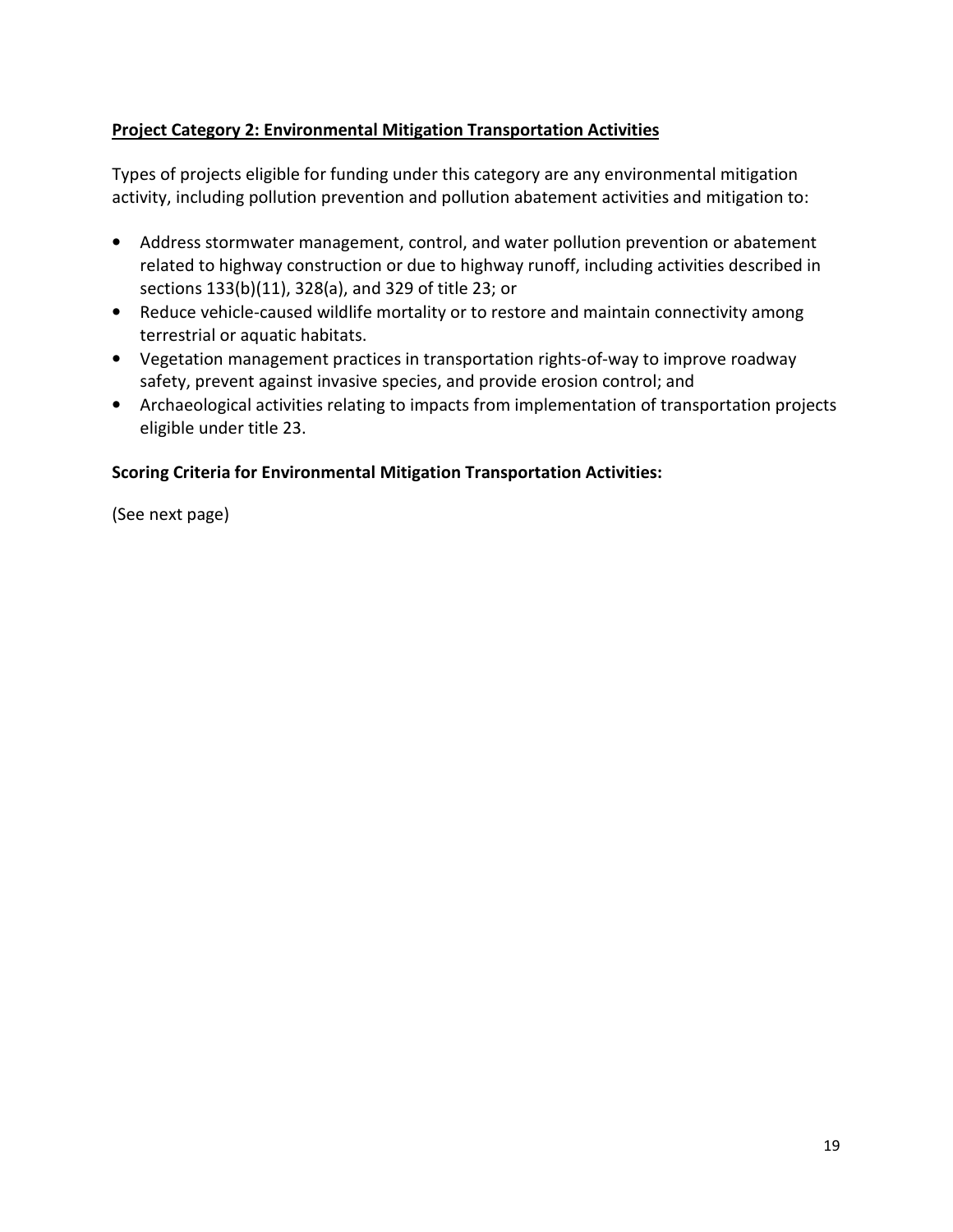#### Project Category 2: Environmental Mitigation Transportation Activities

Types of projects eligible for funding under this category are any environmental mitigation activity, including pollution prevention and pollution abatement activities and mitigation to:

- Address stormwater management, control, and water pollution prevention or abatement related to highway construction or due to highway runoff, including activities described in sections 133(b)(11), 328(a), and 329 of title 23; or
- Reduce vehicle-caused wildlife mortality or to restore and maintain connectivity among terrestrial or aquatic habitats.
- Vegetation management practices in transportation rights-of-way to improve roadway safety, prevent against invasive species, and provide erosion control; and
- Archaeological activities relating to impacts from implementation of transportation projects eligible under title 23.

#### Scoring Criteria for Environmental Mitigation Transportation Activities:

(See next page)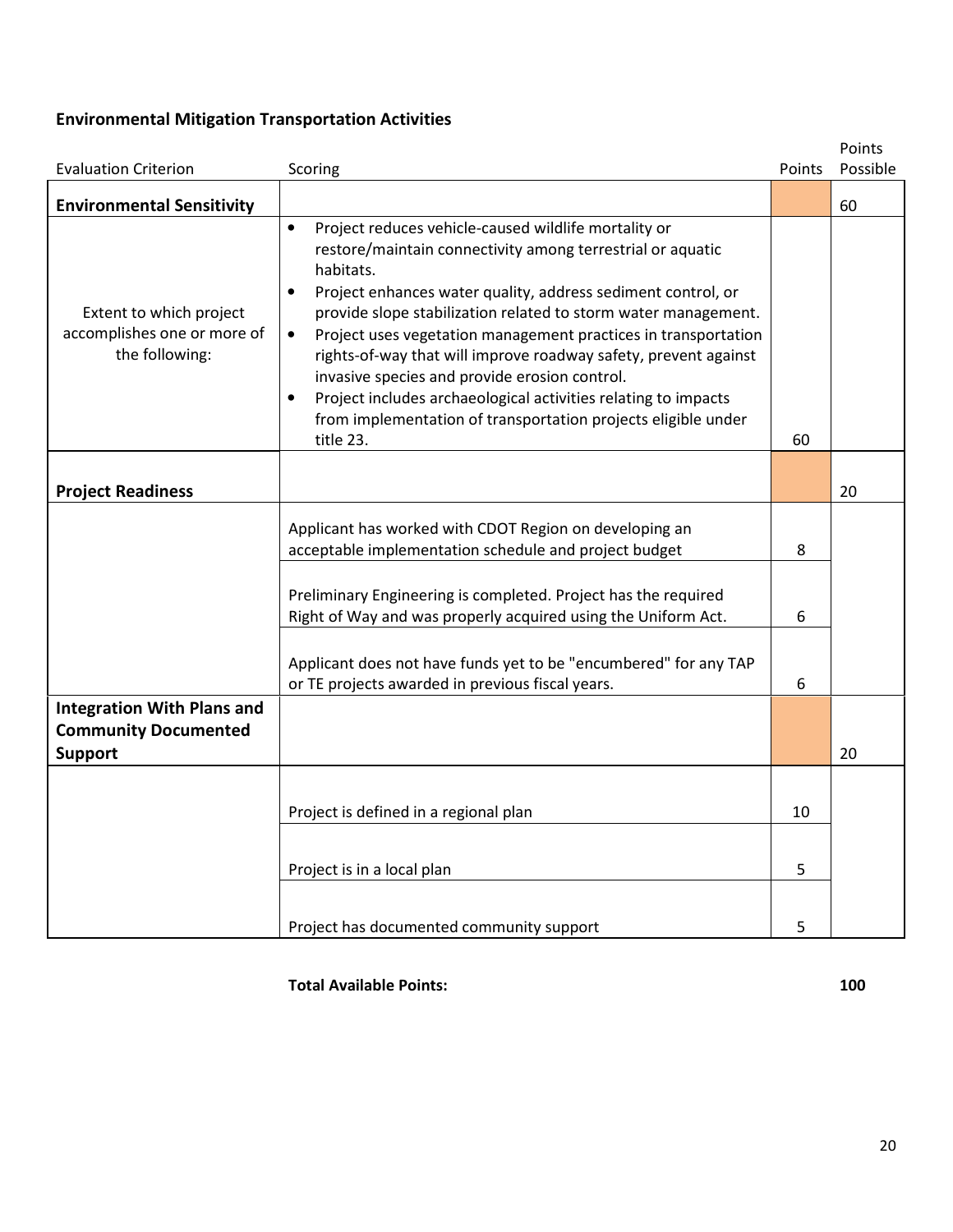### Environmental Mitigation Transportation Activities

|                                                                                    |                                                                                                                                                                                                                                                                                                                                                                                                                                                                                                                                                                                                                                                             |        | Points   |
|------------------------------------------------------------------------------------|-------------------------------------------------------------------------------------------------------------------------------------------------------------------------------------------------------------------------------------------------------------------------------------------------------------------------------------------------------------------------------------------------------------------------------------------------------------------------------------------------------------------------------------------------------------------------------------------------------------------------------------------------------------|--------|----------|
| <b>Evaluation Criterion</b>                                                        | Scoring                                                                                                                                                                                                                                                                                                                                                                                                                                                                                                                                                                                                                                                     | Points | Possible |
| <b>Environmental Sensitivity</b>                                                   |                                                                                                                                                                                                                                                                                                                                                                                                                                                                                                                                                                                                                                                             |        | 60       |
| Extent to which project<br>accomplishes one or more of<br>the following:           | Project reduces vehicle-caused wildlife mortality or<br>$\bullet$<br>restore/maintain connectivity among terrestrial or aquatic<br>habitats.<br>Project enhances water quality, address sediment control, or<br>$\bullet$<br>provide slope stabilization related to storm water management.<br>Project uses vegetation management practices in transportation<br>$\bullet$<br>rights-of-way that will improve roadway safety, prevent against<br>invasive species and provide erosion control.<br>Project includes archaeological activities relating to impacts<br>$\bullet$<br>from implementation of transportation projects eligible under<br>title 23. | 60     |          |
| <b>Project Readiness</b>                                                           |                                                                                                                                                                                                                                                                                                                                                                                                                                                                                                                                                                                                                                                             |        | 20       |
|                                                                                    | Applicant has worked with CDOT Region on developing an<br>acceptable implementation schedule and project budget                                                                                                                                                                                                                                                                                                                                                                                                                                                                                                                                             | 8      |          |
|                                                                                    | Preliminary Engineering is completed. Project has the required<br>Right of Way and was properly acquired using the Uniform Act.                                                                                                                                                                                                                                                                                                                                                                                                                                                                                                                             | 6      |          |
|                                                                                    | Applicant does not have funds yet to be "encumbered" for any TAP<br>or TE projects awarded in previous fiscal years.                                                                                                                                                                                                                                                                                                                                                                                                                                                                                                                                        | 6      |          |
| <b>Integration With Plans and</b><br><b>Community Documented</b><br><b>Support</b> |                                                                                                                                                                                                                                                                                                                                                                                                                                                                                                                                                                                                                                                             |        | 20       |
|                                                                                    |                                                                                                                                                                                                                                                                                                                                                                                                                                                                                                                                                                                                                                                             |        |          |
|                                                                                    | Project is defined in a regional plan                                                                                                                                                                                                                                                                                                                                                                                                                                                                                                                                                                                                                       | 10     |          |
|                                                                                    | Project is in a local plan                                                                                                                                                                                                                                                                                                                                                                                                                                                                                                                                                                                                                                  | 5      |          |
|                                                                                    | Project has documented community support                                                                                                                                                                                                                                                                                                                                                                                                                                                                                                                                                                                                                    | 5      |          |

Total Available Points: 100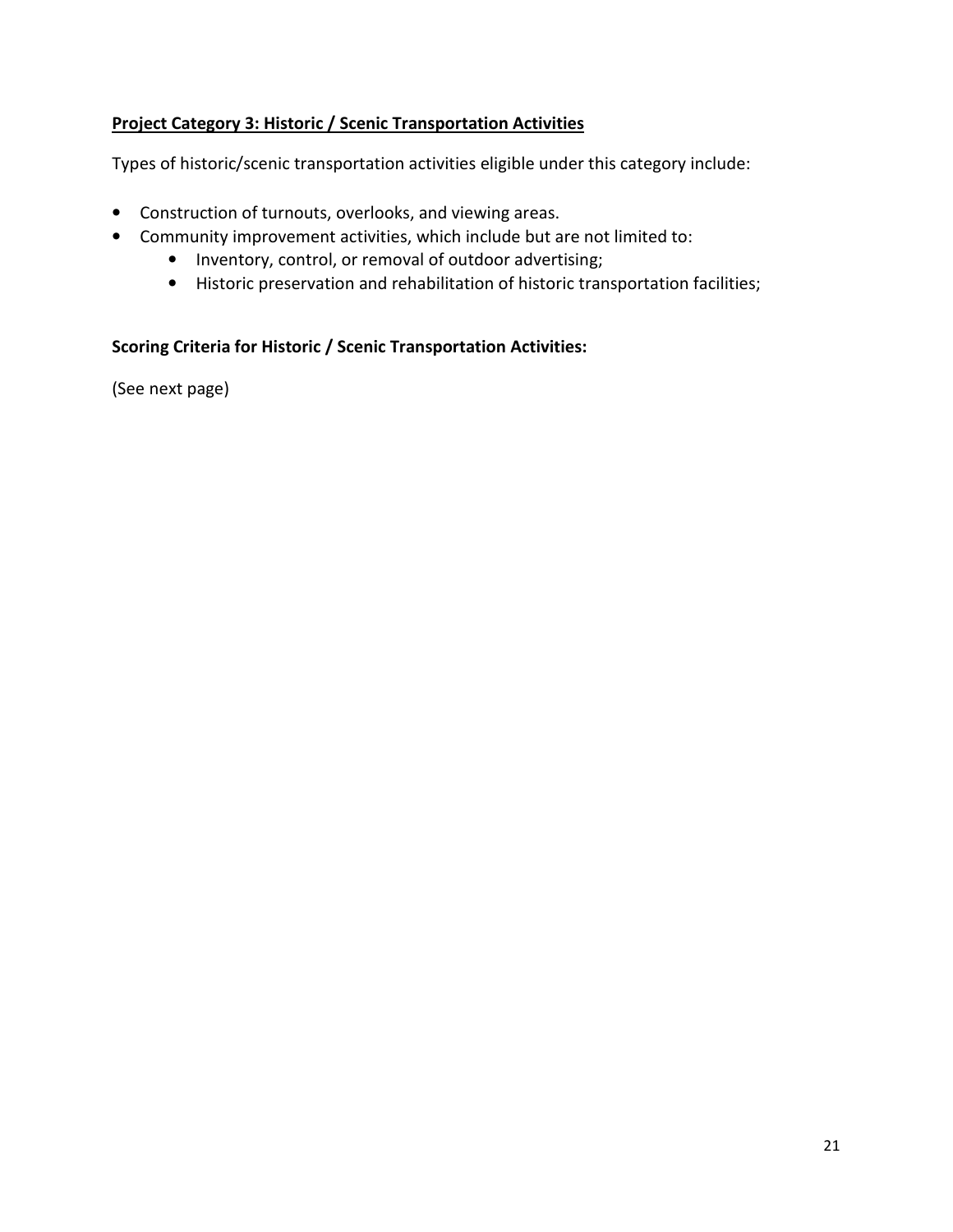#### Project Category 3: Historic / Scenic Transportation Activities

Types of historic/scenic transportation activities eligible under this category include:

- Construction of turnouts, overlooks, and viewing areas.
- Community improvement activities, which include but are not limited to:
	- Inventory, control, or removal of outdoor advertising;
	- Historic preservation and rehabilitation of historic transportation facilities;

#### Scoring Criteria for Historic / Scenic Transportation Activities:

(See next page)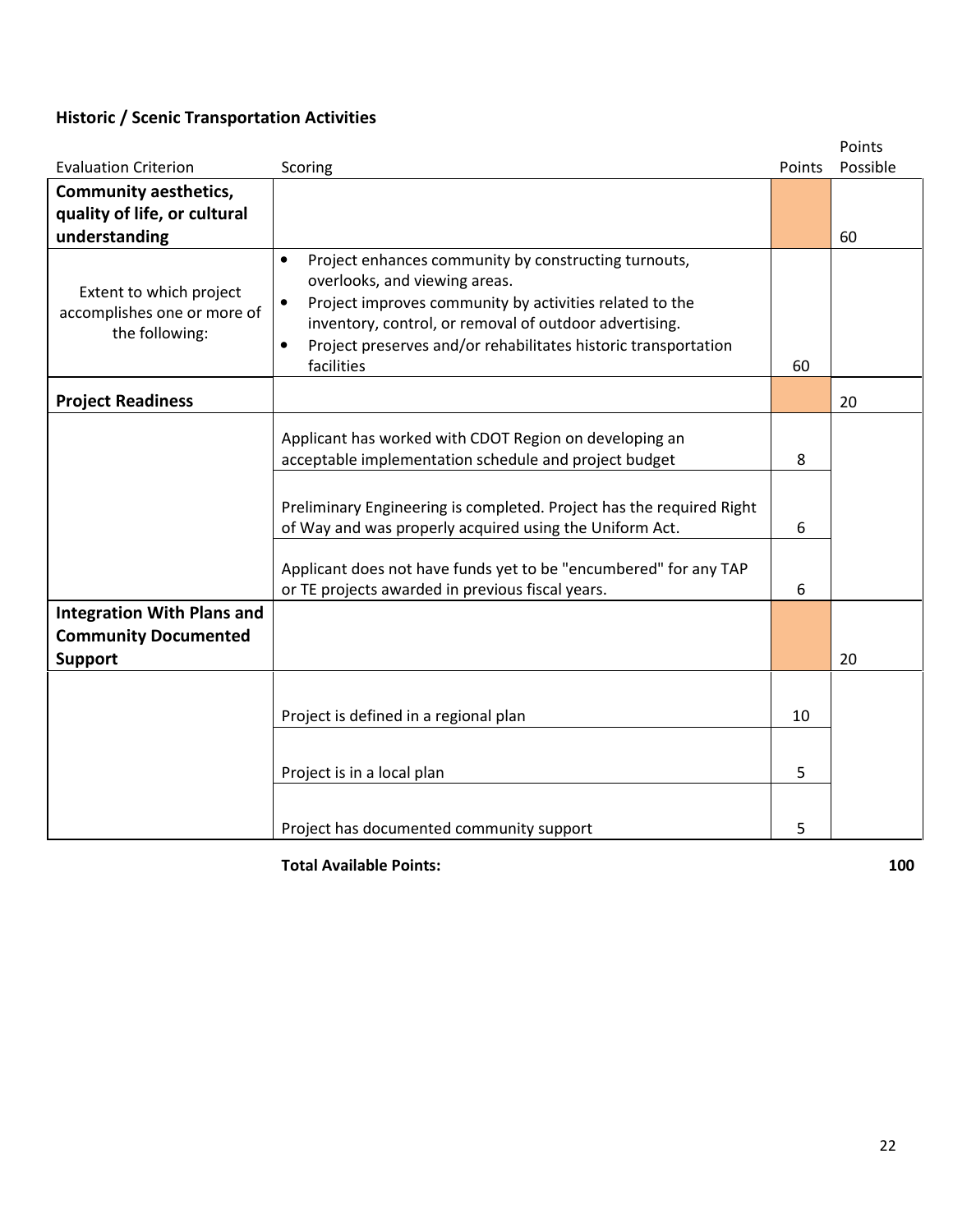## Historic / Scenic Transportation Activities

|                                                                          |                                                                                                                                                                                                                                                                                                                                                                            |              | Points   |
|--------------------------------------------------------------------------|----------------------------------------------------------------------------------------------------------------------------------------------------------------------------------------------------------------------------------------------------------------------------------------------------------------------------------------------------------------------------|--------------|----------|
| <b>Evaluation Criterion</b>                                              | Scoring                                                                                                                                                                                                                                                                                                                                                                    | Points       | Possible |
| <b>Community aesthetics,</b>                                             |                                                                                                                                                                                                                                                                                                                                                                            |              |          |
| quality of life, or cultural                                             |                                                                                                                                                                                                                                                                                                                                                                            |              |          |
| understanding                                                            |                                                                                                                                                                                                                                                                                                                                                                            |              | 60       |
| Extent to which project<br>accomplishes one or more of<br>the following: | Project enhances community by constructing turnouts,<br>$\bullet$<br>overlooks, and viewing areas.<br>Project improves community by activities related to the<br>$\bullet$<br>inventory, control, or removal of outdoor advertising.<br>Project preserves and/or rehabilitates historic transportation<br>$\bullet$<br>facilities                                          | 60           |          |
| <b>Project Readiness</b>                                                 |                                                                                                                                                                                                                                                                                                                                                                            |              | 20       |
| <b>Integration With Plans and</b>                                        | Applicant has worked with CDOT Region on developing an<br>acceptable implementation schedule and project budget<br>Preliminary Engineering is completed. Project has the required Right<br>of Way and was properly acquired using the Uniform Act.<br>Applicant does not have funds yet to be "encumbered" for any TAP<br>or TE projects awarded in previous fiscal years. | 8<br>6<br>6  |          |
| <b>Community Documented</b><br><b>Support</b>                            |                                                                                                                                                                                                                                                                                                                                                                            |              | 20       |
|                                                                          | Project is defined in a regional plan<br>Project is in a local plan<br>Project has documented community support                                                                                                                                                                                                                                                            | 10<br>5<br>5 |          |

Total Available Points: 100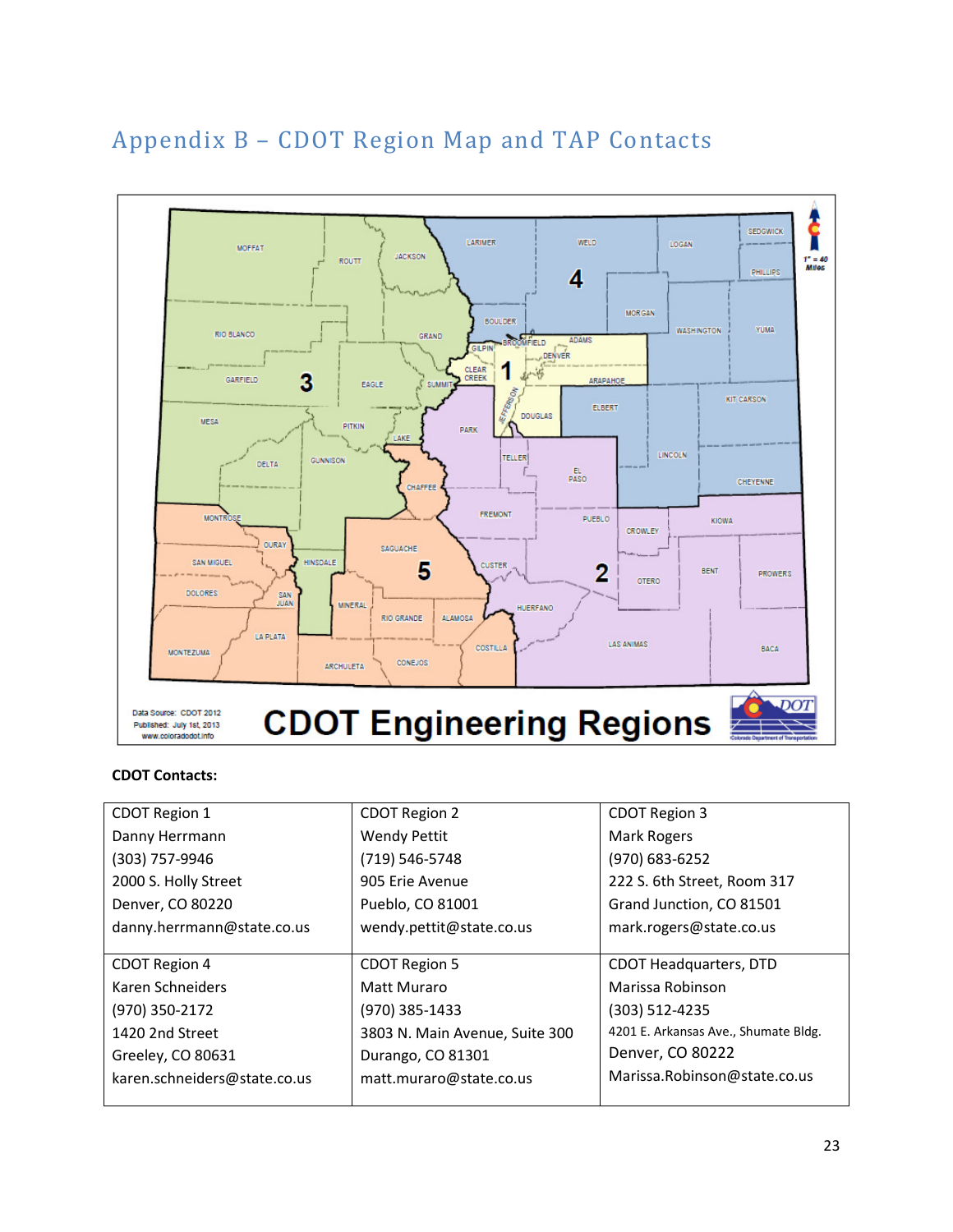## Appendix B – CDOT Region Map and TAP Contacts



#### CDOT Contacts:

| CDOT Region 1                | <b>CDOT Region 2</b>           | CDOT Region 3                        |
|------------------------------|--------------------------------|--------------------------------------|
| Danny Herrmann               | <b>Wendy Pettit</b>            | Mark Rogers                          |
| (303) 757-9946               | (719) 546-5748                 | (970) 683-6252                       |
| 2000 S. Holly Street         | 905 Erie Avenue                | 222 S. 6th Street, Room 317          |
| Denver, CO 80220             | Pueblo, CO 81001               | Grand Junction, CO 81501             |
| danny.herrmann@state.co.us   | wendy.pettit@state.co.us       | mark.rogers@state.co.us              |
|                              |                                |                                      |
| CDOT Region 4                | <b>CDOT Region 5</b>           | <b>CDOT Headquarters, DTD</b>        |
| Karen Schneiders             | Matt Muraro                    | Marissa Robinson                     |
| (970) 350-2172               | (970) 385-1433                 | $(303)$ 512-4235                     |
| 1420 2nd Street              | 3803 N. Main Avenue, Suite 300 | 4201 E. Arkansas Ave., Shumate Bldg. |
| Greeley, CO 80631            | Durango, CO 81301              | Denver, CO 80222                     |
| karen.schneiders@state.co.us | matt.muraro@state.co.us        | Marissa. Robinson@state.co.us        |
|                              |                                |                                      |